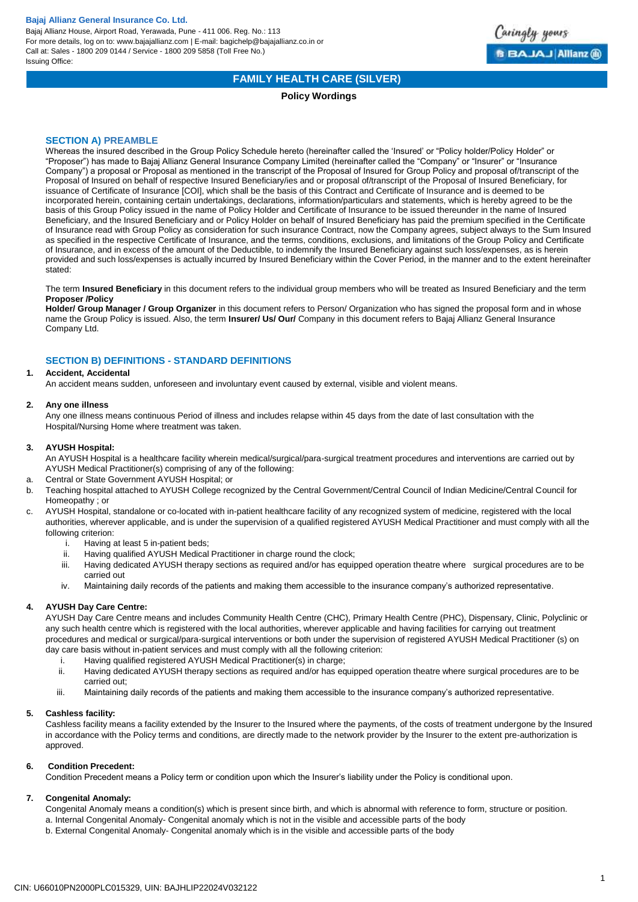Bajaj Allianz House, Airport Road, Yerawada, Pune - 411 006. Reg. No.: 113 For more details, log on to: www.bajajallianz.com | E-mail: bagichelp@bajajallianz.co.in or Call at: Sales - 1800 209 0144 / Service - 1800 209 5858 (Toll Free No.) Issuing Office:



## **FAMILY HEALTH CARE (SILVER)**

### **Policy Wordings**

### **SECTION A) PREAMBLE**

Whereas the insured described in the Group Policy Schedule hereto (hereinafter called the 'Insured' or "Policy holder/Policy Holder" or "Proposer") has made to Bajaj Allianz General Insurance Company Limited (hereinafter called the "Company" or "Insurer" or "Insurance Company") a proposal or Proposal as mentioned in the transcript of the Proposal of Insured for Group Policy and proposal of/transcript of the Proposal of Insured on behalf of respective Insured Beneficiary/ies and or proposal of/transcript of the Proposal of Insured Beneficiary, for issuance of Certificate of Insurance [COI], which shall be the basis of this Contract and Certificate of Insurance and is deemed to be incorporated herein, containing certain undertakings, declarations, information/particulars and statements, which is hereby agreed to be the basis of this Group Policy issued in the name of Policy Holder and Certificate of Insurance to be issued thereunder in the name of Insured Beneficiary, and the Insured Beneficiary and or Policy Holder on behalf of Insured Beneficiary has paid the premium specified in the Certificate of Insurance read with Group Policy as consideration for such insurance Contract, now the Company agrees, subject always to the Sum Insured as specified in the respective Certificate of Insurance, and the terms, conditions, exclusions, and limitations of the Group Policy and Certificate of Insurance, and in excess of the amount of the Deductible, to indemnify the Insured Beneficiary against such loss/expenses, as is herein provided and such loss/expenses is actually incurred by Insured Beneficiary within the Cover Period, in the manner and to the extent hereinafter stated:

### The term **Insured Beneficiary** in this document refers to the individual group members who will be treated as Insured Beneficiary and the term **Proposer /Policy**

**Holder/ Group Manager / Group Organizer** in this document refers to Person/ Organization who has signed the proposal form and in whose name the Group Policy is issued. Also, the term **Insurer/ Us/ Our/** Company in this document refers to Bajaj Allianz General Insurance Company Ltd.

## **SECTION B) DEFINITIONS - STANDARD DEFINITIONS**

## **1. Accident, Accidental**

An accident means sudden, unforeseen and involuntary event caused by external, visible and violent means.

### **2. Any one illness**

Any one illness means continuous Period of illness and includes relapse within 45 days from the date of last consultation with the Hospital/Nursing Home where treatment was taken.

#### **3. AYUSH Hospital:**

An AYUSH Hospital is a healthcare facility wherein medical/surgical/para-surgical treatment procedures and interventions are carried out by AYUSH Medical Practitioner(s) comprising of any of the following:

- a. Central or State Government AYUSH Hospital; or
- b. Teaching hospital attached to AYUSH College recognized by the Central Government/Central Council of Indian Medicine/Central Council for Homeopathy ; or
- c. AYUSH Hospital, standalone or co-located with in-patient healthcare facility of any recognized system of medicine, registered with the local authorities, wherever applicable, and is under the supervision of a qualified registered AYUSH Medical Practitioner and must comply with all the following criterion:
	- i. Having at least 5 in-patient beds;
	- ii. Having qualified AYUSH Medical Practitioner in charge round the clock;
	- iii. Having dedicated AYUSH therapy sections as required and/or has equipped operation theatre where surgical procedures are to be carried out
	- iv. Maintaining daily records of the patients and making them accessible to the insurance company's authorized representative.

### **4. AYUSH Day Care Centre:**

AYUSH Day Care Centre means and includes Community Health Centre (CHC), Primary Health Centre (PHC), Dispensary, Clinic, Polyclinic or any such health centre which is registered with the local authorities, wherever applicable and having facilities for carrying out treatment procedures and medical or surgical/para-surgical interventions or both under the supervision of registered AYUSH Medical Practitioner (s) on day care basis without in-patient services and must comply with all the following criterion:

- i. Having qualified registered AYUSH Medical Practitioner(s) in charge;
- ii. Having dedicated AYUSH therapy sections as required and/or has equipped operation theatre where surgical procedures are to be carried out;
- iii. Maintaining daily records of the patients and making them accessible to the insurance company's authorized representative.

### **5. Cashless facility:**

Cashless facility means a facility extended by the Insurer to the Insured where the payments, of the costs of treatment undergone by the Insured in accordance with the Policy terms and conditions, are directly made to the network provider by the Insurer to the extent pre-authorization is approved.

### **6. Condition Precedent:**

Condition Precedent means a Policy term or condition upon which the Insurer's liability under the Policy is conditional upon.

### **7. Congenital Anomaly:**

Congenital Anomaly means a condition(s) which is present since birth, and which is abnormal with reference to form, structure or position. a. Internal Congenital Anomaly- Congenital anomaly which is not in the visible and accessible parts of the body

b. External Congenital Anomaly- Congenital anomaly which is in the visible and accessible parts of the body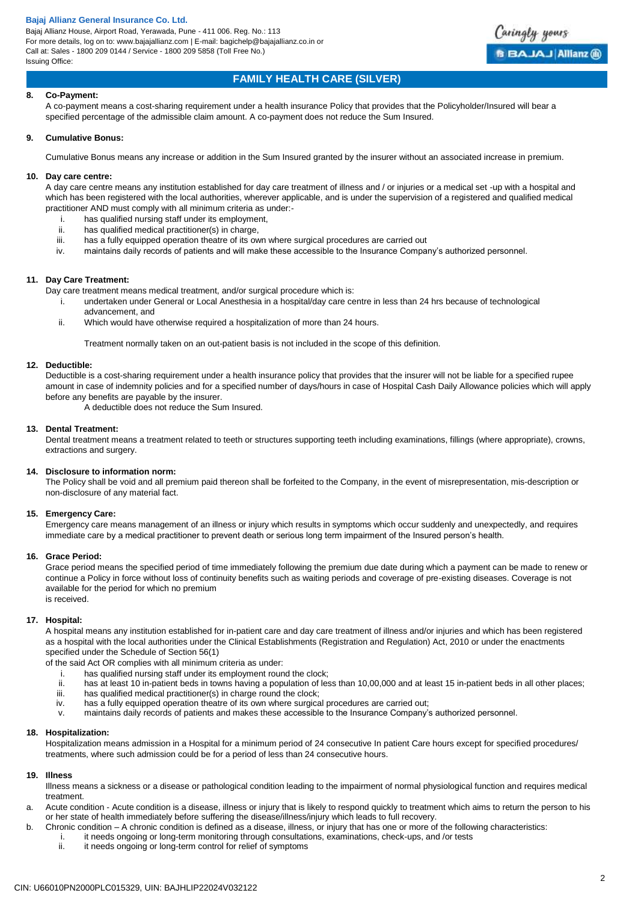Bajaj Allianz House, Airport Road, Yerawada, Pune - 411 006. Reg. No.: 113 For more details, log on to: www.bajajallianz.com | E-mail: bagichelp@bajajallianz.co.in or Call at: Sales - 1800 209 0144 / Service - 1800 209 5858 (Toll Free No.) Issuing Office:



# **FAMILY HEALTH CARE (SILVER)**

### **8. Co-Payment:**

A co-payment means a cost-sharing requirement under a health insurance Policy that provides that the Policyholder/Insured will bear a specified percentage of the admissible claim amount. A co-payment does not reduce the Sum Insured.

#### **9. Cumulative Bonus:**

Cumulative Bonus means any increase or addition in the Sum Insured granted by the insurer without an associated increase in premium.

### **10. Day care centre:**

A day care centre means any institution established for day care treatment of illness and / or injuries or a medical set -up with a hospital and which has been registered with the local authorities, wherever applicable, and is under the supervision of a registered and qualified medical practitioner AND must comply with all minimum criteria as under:-

- i. has qualified nursing staff under its employment,<br>ii. has qualified medical practitioner(s) in charge.
- has qualified medical practitioner(s) in charge,
- iii. has a fully equipped operation theatre of its own where surgical procedures are carried out
- maintains daily records of patients and will make these accessible to the Insurance Company's authorized personnel.

### **11. Day Care Treatment:**

Day care treatment means medical treatment, and/or surgical procedure which is:

- i. undertaken under General or Local Anesthesia in a hospital/day care centre in less than 24 hrs because of technological advancement, and
- ii. Which would have otherwise required a hospitalization of more than 24 hours.

Treatment normally taken on an out-patient basis is not included in the scope of this definition.

### **12. Deductible:**

Deductible is a cost-sharing requirement under a health insurance policy that provides that the insurer will not be liable for a specified rupee amount in case of indemnity policies and for a specified number of days/hours in case of Hospital Cash Daily Allowance policies which will apply before any benefits are payable by the insurer.

A deductible does not reduce the Sum Insured.

### **13. Dental Treatment:**

Dental treatment means a treatment related to teeth or structures supporting teeth including examinations, fillings (where appropriate), crowns, extractions and surgery.

#### **14. Disclosure to information norm:**

The Policy shall be void and all premium paid thereon shall be forfeited to the Company, in the event of misrepresentation, mis-description or non-disclosure of any material fact.

### **15. Emergency Care:**

Emergency care means management of an illness or injury which results in symptoms which occur suddenly and unexpectedly, and requires immediate care by a medical practitioner to prevent death or serious long term impairment of the Insured person's health.

### **16. Grace Period:**

Grace period means the specified period of time immediately following the premium due date during which a payment can be made to renew or continue a Policy in force without loss of continuity benefits such as waiting periods and coverage of pre-existing diseases. Coverage is not available for the period for which no premium is received.

### **17. Hospital:**

A hospital means any institution established for in-patient care and day care treatment of illness and/or injuries and which has been registered as a hospital with the local authorities under the Clinical Establishments (Registration and Regulation) Act, 2010 or under the enactments specified under the Schedule of Section 56(1)

of the said Act OR complies with all minimum criteria as under:

- i. has qualified nursing staff under its employment round the clock;
- ii. has at least 10 in-patient beds in towns having a population of less than 10,00,000 and at least 15 in-patient beds in all other places;
- iii. has qualified medical practitioner(s) in charge round the clock;
- iv. has a fully equipped operation theatre of its own where surgical procedures are carried out;
- v. maintains daily records of patients and makes these accessible to the Insurance Company's authorized personnel.

#### **18. Hospitalization:**

Hospitalization means admission in a Hospital for a minimum period of 24 consecutive In patient Care hours except for specified procedures/ treatments, where such admission could be for a period of less than 24 consecutive hours.

### **19. Illness**

Illness means a sickness or a disease or pathological condition leading to the impairment of normal physiological function and requires medical treatment.

- a. Acute condition Acute condition is a disease, illness or injury that is likely to respond quickly to treatment which aims to return the person to his or her state of health immediately before suffering the disease/illness/injury which leads to full recovery.
- b. Chronic condition A chronic condition is defined as a disease, illness, or injury that has one or more of the following characteristics:
	- i. it needs ongoing or long-term monitoring through consultations, examinations, check-ups, and /or tests
	- ii. it needs ongoing or long-term control for relief of symptoms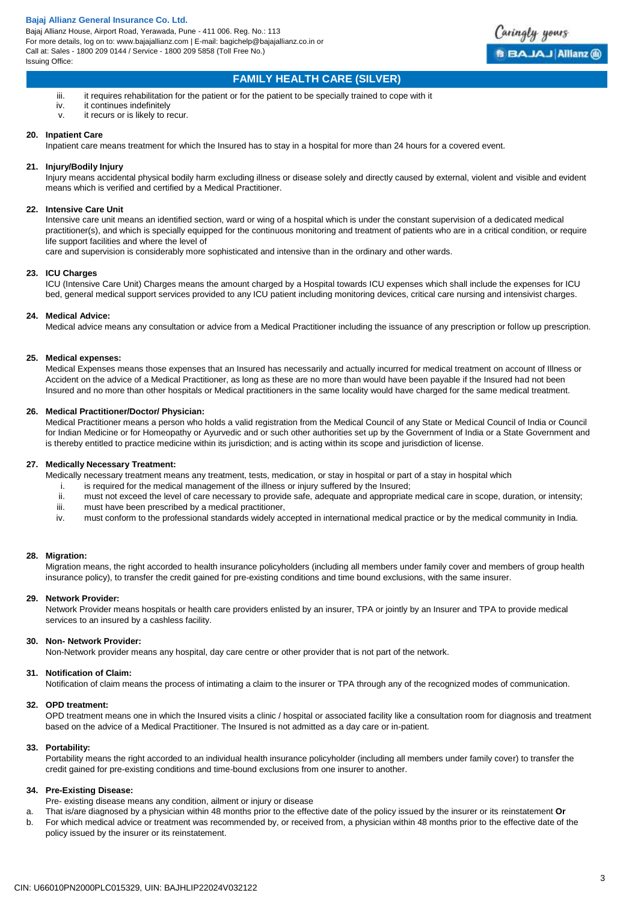

## **FAMILY HEALTH CARE (SILVER)**

- iii. it requires rehabilitation for the patient or for the patient to be specially trained to cope with it
- iv. it continues indefinitely
- v. it recurs or is likely to recur.

### **20. Inpatient Care**

Inpatient care means treatment for which the Insured has to stay in a hospital for more than 24 hours for a covered event.

### **21. Injury/Bodily Injury**

Injury means accidental physical bodily harm excluding illness or disease solely and directly caused by external, violent and visible and evident means which is verified and certified by a Medical Practitioner.

### **22. Intensive Care Unit**

Intensive care unit means an identified section, ward or wing of a hospital which is under the constant supervision of a dedicated medical practitioner(s), and which is specially equipped for the continuous monitoring and treatment of patients who are in a critical condition, or require life support facilities and where the level of

care and supervision is considerably more sophisticated and intensive than in the ordinary and other wards.

### **23. ICU Charges**

ICU (Intensive Care Unit) Charges means the amount charged by a Hospital towards ICU expenses which shall include the expenses for ICU bed, general medical support services provided to any ICU patient including monitoring devices, critical care nursing and intensivist charges.

### **24. Medical Advice:**

Medical advice means any consultation or advice from a Medical Practitioner including the issuance of any prescription or follow up prescription.

### **25. Medical expenses:**

Medical Expenses means those expenses that an Insured has necessarily and actually incurred for medical treatment on account of Illness or Accident on the advice of a Medical Practitioner, as long as these are no more than would have been payable if the Insured had not been Insured and no more than other hospitals or Medical practitioners in the same locality would have charged for the same medical treatment.

### **26. Medical Practitioner/Doctor/ Physician:**

Medical Practitioner means a person who holds a valid registration from the Medical Council of any State or Medical Council of India or Council for Indian Medicine or for Homeopathy or Ayurvedic and or such other authorities set up by the Government of India or a State Government and is thereby entitled to practice medicine within its jurisdiction; and is acting within its scope and jurisdiction of license.

### **27. Medically Necessary Treatment:**

Medically necessary treatment means any treatment, tests, medication, or stay in hospital or part of a stay in hospital which

- i. is required for the medical management of the illness or injury suffered by the Insured;<br>ii. must not exceed the level of care necessary to provide safe, adequate and appropriate
- must not exceed the level of care necessary to provide safe, adequate and appropriate medical care in scope, duration, or intensity; iii. must have been prescribed by a medical practitioner,
- iv. must conform to the professional standards widely accepted in international medical practice or by the medical community in India.

### **28. Migration:**

Migration means, the right accorded to health insurance policyholders (including all members under family cover and members of group health insurance policy), to transfer the credit gained for pre-existing conditions and time bound exclusions, with the same insurer.

### **29. Network Provider:**

Network Provider means hospitals or health care providers enlisted by an insurer, TPA or jointly by an Insurer and TPA to provide medical services to an insured by a cashless facility.

### **30. Non- Network Provider:**

Non-Network provider means any hospital, day care centre or other provider that is not part of the network.

### **31. Notification of Claim:**

Notification of claim means the process of intimating a claim to the insurer or TPA through any of the recognized modes of communication.

### **32. OPD treatment:**

OPD treatment means one in which the Insured visits a clinic / hospital or associated facility like a consultation room for diagnosis and treatment based on the advice of a Medical Practitioner. The Insured is not admitted as a day care or in-patient.

#### **33. Portability:**

Portability means the right accorded to an individual health insurance policyholder (including all members under family cover) to transfer the credit gained for pre-existing conditions and time-bound exclusions from one insurer to another.

### **34. Pre-Existing Disease:**

- Pre- existing disease means any condition, ailment or injury or disease
- a. That is/are diagnosed by a physician within 48 months prior to the effective date of the policy issued by the insurer or its reinstatement **Or**
- b. For which medical advice or treatment was recommended by, or received from, a physician within 48 months prior to the effective date of the policy issued by the insurer or its reinstatement.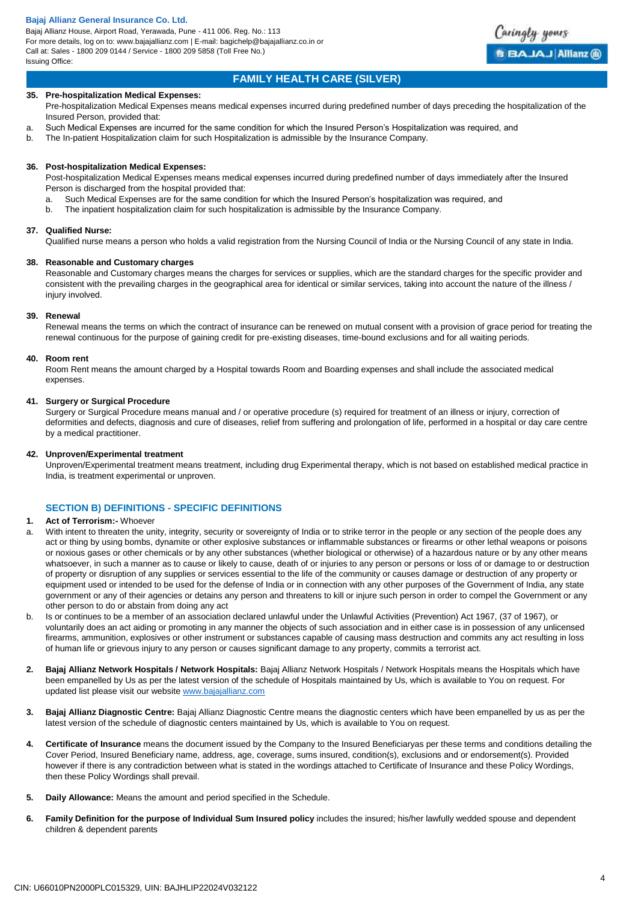Bajaj Allianz House, Airport Road, Yerawada, Pune - 411 006. Reg. No.: 113 For more details, log on to: www.bajajallianz.com | E-mail: bagichelp@bajajallianz.co.in or Call at: Sales - 1800 209 0144 / Service - 1800 209 5858 (Toll Free No.) Issuing Office:



Caringly yours

**BBAJAJ Allianz @** 

### **35. Pre-hospitalization Medical Expenses:**

- Pre-hospitalization Medical Expenses means medical expenses incurred during predefined number of days preceding the hospitalization of the Insured Person, provided that:
- a. Such Medical Expenses are incurred for the same condition for which the Insured Person's Hospitalization was required, and
- b. The In-patient Hospitalization claim for such Hospitalization is admissible by the Insurance Company.

### **36. Post-hospitalization Medical Expenses:**

Post-hospitalization Medical Expenses means medical expenses incurred during predefined number of days immediately after the Insured Person is discharged from the hospital provided that:

- a. Such Medical Expenses are for the same condition for which the Insured Person's hospitalization was required, and
- b. The inpatient hospitalization claim for such hospitalization is admissible by the Insurance Company.

### **37. Qualified Nurse:**

Qualified nurse means a person who holds a valid registration from the Nursing Council of India or the Nursing Council of any state in India.

### **38. Reasonable and Customary charges**

Reasonable and Customary charges means the charges for services or supplies, which are the standard charges for the specific provider and consistent with the prevailing charges in the geographical area for identical or similar services, taking into account the nature of the illness / injury involved.

### **39. Renewal**

Renewal means the terms on which the contract of insurance can be renewed on mutual consent with a provision of grace period for treating the renewal continuous for the purpose of gaining credit for pre-existing diseases, time-bound exclusions and for all waiting periods.

### **40. Room rent**

Room Rent means the amount charged by a Hospital towards Room and Boarding expenses and shall include the associated medical expenses.

### **41. Surgery or Surgical Procedure**

Surgery or Surgical Procedure means manual and / or operative procedure (s) required for treatment of an illness or injury, correction of deformities and defects, diagnosis and cure of diseases, relief from suffering and prolongation of life, performed in a hospital or day care centre by a medical practitioner.

### **42. Unproven/Experimental treatment**

Unproven/Experimental treatment means treatment, including drug Experimental therapy, which is not based on established medical practice in India, is treatment experimental or unproven.

### **SECTION B) DEFINITIONS - SPECIFIC DEFINITIONS**

### **1. Act of Terrorism:-** Whoever

- a. With intent to threaten the unity, integrity, security or sovereignty of India or to strike terror in the people or any section of the people does any act or thing by using bombs, dynamite or other explosive substances or inflammable substances or firearms or other lethal weapons or poisons or noxious gases or other chemicals or by any other substances (whether biological or otherwise) of a hazardous nature or by any other means whatsoever, in such a manner as to cause or likely to cause, death of or injuries to any person or persons or loss of or damage to or destruction of property or disruption of any supplies or services essential to the life of the community or causes damage or destruction of any property or equipment used or intended to be used for the defense of India or in connection with any other purposes of the Government of India, any state government or any of their agencies or detains any person and threatens to kill or injure such person in order to compel the Government or any other person to do or abstain from doing any act
- b. Is or continues to be a member of an association declared unlawful under the Unlawful Activities (Prevention) Act 1967, (37 of 1967), or voluntarily does an act aiding or promoting in any manner the objects of such association and in either case is in possession of any unlicensed firearms, ammunition, explosives or other instrument or substances capable of causing mass destruction and commits any act resulting in loss of human life or grievous injury to any person or causes significant damage to any property, commits a terrorist act.
- **2. Bajaj Allianz Network Hospitals / Network Hospitals:** Bajaj Allianz Network Hospitals / Network Hospitals means the Hospitals which have been empanelled by Us as per the latest version of the schedule of Hospitals maintained by Us, which is available to You on request. For updated list please visit our websit[e www.bajajallianz.com](http://www.bajajallianz.com/)
- **3. Bajaj Allianz Diagnostic Centre:** Bajaj Allianz Diagnostic Centre means the diagnostic centers which have been empanelled by us as per the latest version of the schedule of diagnostic centers maintained by Us, which is available to You on request.
- **4. Certificate of Insurance** means the document issued by the Company to the Insured Beneficiaryas per these terms and conditions detailing the Cover Period, Insured Beneficiary name, address, age, coverage, sums insured, condition(s), exclusions and or endorsement(s). Provided however if there is any contradiction between what is stated in the wordings attached to Certificate of Insurance and these Policy Wordings, then these Policy Wordings shall prevail.
- **5. Daily Allowance:** Means the amount and period specified in the Schedule.
- **6. Family Definition for the purpose of Individual Sum Insured policy** includes the insured; his/her lawfully wedded spouse and dependent children & dependent parents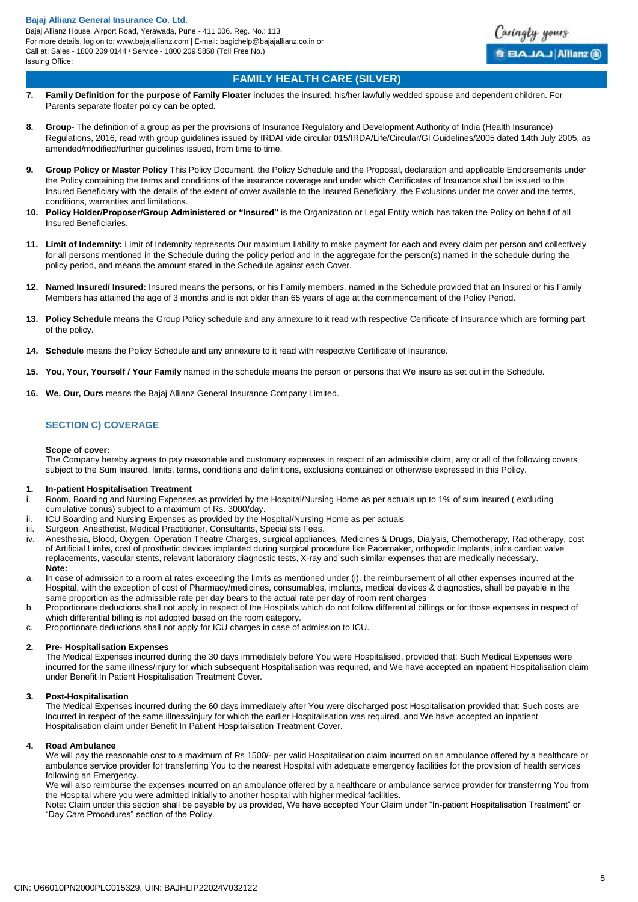

## **FAMILY HEALTH CARE (SILVER)**

- **7. Family Definition for the purpose of Family Floater** includes the insured; his/her lawfully wedded spouse and dependent children. For Parents separate floater policy can be opted.
- **8. Group** The definition of a group as per the provisions of Insurance Regulatory and Development Authority of India (Health Insurance) Regulations, 2016, read with group guidelines issued by IRDAI vide circular 015/IRDA/Life/Circular/GI Guidelines/2005 dated 14th July 2005, as amended/modified/further guidelines issued, from time to time.
- **9. Group Policy or Master Policy** This Policy Document, the Policy Schedule and the Proposal, declaration and applicable Endorsements under the Policy containing the terms and conditions of the insurance coverage and under which Certificates of Insurance shall be issued to the Insured Beneficiary with the details of the extent of cover available to the Insured Beneficiary, the Exclusions under the cover and the terms, conditions, warranties and limitations.
- **10. Policy Holder/Proposer/Group Administered or "Insured"** is the Organization or Legal Entity which has taken the Policy on behalf of all Insured Beneficiaries.
- **11. Limit of Indemnity:** Limit of Indemnity represents Our maximum liability to make payment for each and every claim per person and collectively for all persons mentioned in the Schedule during the policy period and in the aggregate for the person(s) named in the schedule during the policy period, and means the amount stated in the Schedule against each Cover.
- **12. Named Insured/ Insured:** Insured means the persons, or his Family members, named in the Schedule provided that an Insured or his Family Members has attained the age of 3 months and is not older than 65 years of age at the commencement of the Policy Period.
- **13. Policy Schedule** means the Group Policy schedule and any annexure to it read with respective Certificate of Insurance which are forming part of the policy.
- **14. Schedule** means the Policy Schedule and any annexure to it read with respective Certificate of Insurance.
- **15. You, Your, Yourself / Your Family** named in the schedule means the person or persons that We insure as set out in the Schedule.
- **16. We, Our, Ours** means the Bajaj Allianz General Insurance Company Limited.

# **SECTION C) COVERAGE**

### **Scope of cover:**

The Company hereby agrees to pay reasonable and customary expenses in respect of an admissible claim, any or all of the following covers subject to the Sum Insured, limits, terms, conditions and definitions, exclusions contained or otherwise expressed in this Policy.

### **1. In-patient Hospitalisation Treatment**

- i. Room, Boarding and Nursing Expenses as provided by the Hospital/Nursing Home as per actuals up to 1% of sum insured ( excluding cumulative bonus) subject to a maximum of Rs. 3000/day.
- ii. ICU Boarding and Nursing Expenses as provided by the Hospital/Nursing Home as per actuals
- iii. Surgeon, Anesthetist, Medical Practitioner, Consultants, Specialists Fees.
- iv. Anesthesia, Blood, Oxygen, Operation Theatre Charges, surgical appliances, Medicines & Drugs, Dialysis, Chemotherapy, Radiotherapy, cost of Artificial Limbs, cost of prosthetic devices implanted during surgical procedure like Pacemaker, orthopedic implants, infra cardiac valve replacements, vascular stents, relevant laboratory diagnostic tests, X-ray and such similar expenses that are medically necessary. **Note:**
- a. In case of admission to a room at rates exceeding the limits as mentioned under (i), the reimbursement of all other expenses incurred at the Hospital, with the exception of cost of Pharmacy/medicines, consumables, implants, medical devices & diagnostics, shall be payable in the same proportion as the admissible rate per day bears to the actual rate per day of room rent charges
- b. Proportionate deductions shall not apply in respect of the Hospitals which do not follow differential billings or for those expenses in respect of which differential billing is not adopted based on the room category.
- c. Proportionate deductions shall not apply for ICU charges in case of admission to ICU.

### **2. Pre- Hospitalisation Expenses**

The Medical Expenses incurred during the 30 days immediately before You were Hospitalised, provided that: Such Medical Expenses were incurred for the same illness/injury for which subsequent Hospitalisation was required, and We have accepted an inpatient Hospitalisation claim under Benefit In Patient Hospitalisation Treatment Cover.

### **3. Post-Hospitalisation**

The Medical Expenses incurred during the 60 days immediately after You were discharged post Hospitalisation provided that: Such costs are incurred in respect of the same illness/injury for which the earlier Hospitalisation was required, and We have accepted an inpatient Hospitalisation claim under Benefit In Patient Hospitalisation Treatment Cover.

### **4. Road Ambulance**

We will pay the reasonable cost to a maximum of Rs 1500/- per valid Hospitalisation claim incurred on an ambulance offered by a healthcare or ambulance service provider for transferring You to the nearest Hospital with adequate emergency facilities for the provision of health services following an Emergency.

We will also reimburse the expenses incurred on an ambulance offered by a healthcare or ambulance service provider for transferring You from the Hospital where you were admitted initially to another hospital with higher medical facilities.

Note: Claim under this section shall be payable by us provided, We have accepted Your Claim under "In-patient Hospitalisation Treatment" or "Day Care Procedures" section of the Policy.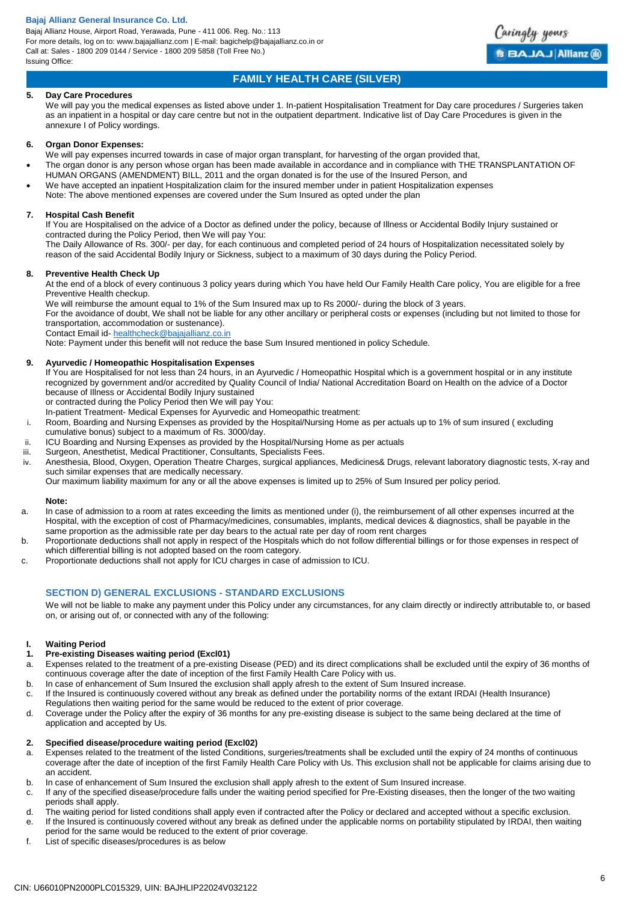Bajaj Allianz House, Airport Road, Yerawada, Pune - 411 006. Reg. No.: 113 For more details, log on to: www.bajajallianz.com | E-mail: bagichelp@bajajallianz.co.in or Call at: Sales - 1800 209 0144 / Service - 1800 209 5858 (Toll Free No.) Issuing Office:



# **FAMILY HEALTH CARE (SILVER)**

### **5. Day Care Procedures**

We will pay you the medical expenses as listed above under 1. In-patient Hospitalisation Treatment for Day care procedures / Surgeries taken as an inpatient in a hospital or day care centre but not in the outpatient department. Indicative list of Day Care Procedures is given in the annexure I of Policy wordings.

#### **6. Organ Donor Expenses:**

- We will pay expenses incurred towards in case of major organ transplant, for harvesting of the organ provided that,
- The organ donor is any person whose organ has been made available in accordance and in compliance with THE TRANSPLANTATION OF HUMAN ORGANS (AMENDMENT) BILL, 2011 and the organ donated is for the use of the Insured Person, and
- We have accepted an inpatient Hospitalization claim for the insured member under in patient Hospitalization expenses
- Note: The above mentioned expenses are covered under the Sum Insured as opted under the plan

### **7. Hospital Cash Benefit**

If You are Hospitalised on the advice of a Doctor as defined under the policy, because of Illness or Accidental Bodily Injury sustained or contracted during the Policy Period, then We will pay You:

The Daily Allowance of Rs. 300/- per day, for each continuous and completed period of 24 hours of Hospitalization necessitated solely by reason of the said Accidental Bodily Injury or Sickness, subject to a maximum of 30 days during the Policy Period.

### **8. Preventive Health Check Up**

At the end of a block of every continuous 3 policy years during which You have held Our Family Health Care policy, You are eligible for a free Preventive Health checkup.

We will reimburse the amount equal to 1% of the Sum Insured max up to Rs 2000/- during the block of 3 years.

For the avoidance of doubt, We shall not be liable for any other ancillary or peripheral costs or expenses (including but not limited to those for transportation, accommodation or sustenance).

Contact Email id- [healthcheck@bajajallianz.co.in](mailto:healthcheck@bajajallianz.co.in)

Note: Payment under this benefit will not reduce the base Sum Insured mentioned in policy Schedule.

### **9. Ayurvedic / Homeopathic Hospitalisation Expenses**

If You are Hospitalised for not less than 24 hours, in an Ayurvedic / Homeopathic Hospital which is a government hospital or in any institute recognized by government and/or accredited by Quality Council of India/ National Accreditation Board on Health on the advice of a Doctor because of Illness or Accidental Bodily Injury sustained

or contracted during the Policy Period then We will pay You:

In-patient Treatment- Medical Expenses for Ayurvedic and Homeopathic treatment:

- i. Room, Boarding and Nursing Expenses as provided by the Hospital/Nursing Home as per actuals up to 1% of sum insured ( excluding cumulative bonus) subject to a maximum of Rs. 3000/day.
- ii. ICU Boarding and Nursing Expenses as provided by the Hospital/Nursing Home as per actuals
- iii. Surgeon, Anesthetist, Medical Practitioner, Consultants, Specialists Fees.
- iv. Anesthesia, Blood, Oxygen, Operation Theatre Charges, surgical appliances, Medicines& Drugs, relevant laboratory diagnostic tests, X-ray and such similar expenses that are medically necessary.

Our maximum liability maximum for any or all the above expenses is limited up to 25% of Sum Insured per policy period.

### **Note:**

- a. In case of admission to a room at rates exceeding the limits as mentioned under (i), the reimbursement of all other expenses incurred at the Hospital, with the exception of cost of Pharmacy/medicines, consumables, implants, medical devices & diagnostics, shall be payable in the same proportion as the admissible rate per day bears to the actual rate per day of room rent charges
- b. Proportionate deductions shall not apply in respect of the Hospitals which do not follow differential billings or for those expenses in respect of which differential billing is not adopted based on the room category.
- c. Proportionate deductions shall not apply for ICU charges in case of admission to ICU.

### **SECTION D) GENERAL EXCLUSIONS - STANDARD EXCLUSIONS**

We will not be liable to make any payment under this Policy under any circumstances, for any claim directly or indirectly attributable to, or based on, or arising out of, or connected with any of the following:

### **I. Waiting Period**

### **1. Pre-existing Diseases waiting period (Excl01)**

- a. Expenses related to the treatment of a pre-existing Disease (PED) and its direct complications shall be excluded until the expiry of 36 months of continuous coverage after the date of inception of the first Family Health Care Policy with us.
- b. In case of enhancement of Sum Insured the exclusion shall apply afresh to the extent of Sum Insured increase.
- c. If the Insured is continuously covered without any break as defined under the portability norms of the extant IRDAI (Health Insurance)
- Regulations then waiting period for the same would be reduced to the extent of prior coverage.
- d. Coverage under the Policy after the expiry of 36 months for any pre-existing disease is subject to the same being declared at the time of application and accepted by Us.

### **2. Specified disease/procedure waiting period (Excl02)**

- a. Expenses related to the treatment of the listed Conditions, surgeries/treatments shall be excluded until the expiry of 24 months of continuous coverage after the date of inception of the first Family Health Care Policy with Us. This exclusion shall not be applicable for claims arising due to an accident.
- b. In case of enhancement of Sum Insured the exclusion shall apply afresh to the extent of Sum Insured increase.
- c. If any of the specified disease/procedure falls under the waiting period specified for Pre-Existing diseases, then the longer of the two waiting periods shall apply.
- d. The waiting period for listed conditions shall apply even if contracted after the Policy or declared and accepted without a specific exclusion.
- e. If the Insured is continuously covered without any break as defined under the applicable norms on portability stipulated by IRDAI, then waiting period for the same would be reduced to the extent of prior coverage.
- f. List of specific diseases/procedures is as below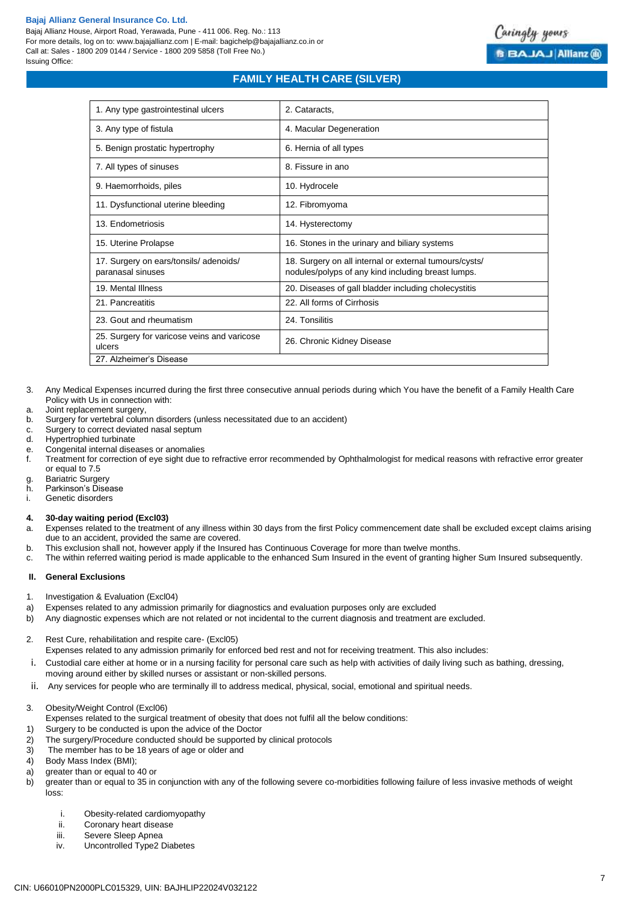Bajaj Allianz House, Airport Road, Yerawada, Pune - 411 006. Reg. No.: 113 For more details, log on to: www.bajajallianz.com | E-mail: bagichelp@bajajallianz.co.in or Call at: Sales - 1800 209 0144 / Service - 1800 209 5858 (Toll Free No.) Issuing Office:

# **FAMILY HEALTH CARE (SILVER)**

| 1. Any type gastrointestinal ulcers                        | 2. Cataracts,                                                                                                |  |
|------------------------------------------------------------|--------------------------------------------------------------------------------------------------------------|--|
| 3. Any type of fistula                                     | 4. Macular Degeneration                                                                                      |  |
| 5. Benign prostatic hypertrophy                            | 6. Hernia of all types                                                                                       |  |
| 7. All types of sinuses                                    | 8. Fissure in ano                                                                                            |  |
| 9. Haemorrhoids, piles                                     | 10. Hydrocele                                                                                                |  |
| 11. Dysfunctional uterine bleeding                         | 12. Fibromyoma                                                                                               |  |
| 13. Endometriosis                                          | 14. Hysterectomy                                                                                             |  |
| 15. Uterine Prolapse                                       | 16. Stones in the urinary and biliary systems                                                                |  |
| 17. Surgery on ears/tonsils/adenoids/<br>paranasal sinuses | 18. Surgery on all internal or external tumours/cysts/<br>nodules/polyps of any kind including breast lumps. |  |
| 19. Mental Illness                                         | 20. Diseases of gall bladder including cholecystitis                                                         |  |
| 21. Pancreatitis                                           | 22. All forms of Cirrhosis                                                                                   |  |
| 23. Gout and rheumatism                                    | 24. Tonsilitis                                                                                               |  |
| 25. Surgery for varicose veins and varicose<br>ulcers      | 26. Chronic Kidney Disease                                                                                   |  |
| 27. Alzheimer's Disease                                    |                                                                                                              |  |

- 3. Any Medical Expenses incurred during the first three consecutive annual periods during which You have the benefit of a Family Health Care Policy with Us in connection with:
- a. Joint replacement surgery,
- b. Surgery for vertebral column disorders (unless necessitated due to an accident)
- c. Surgery to correct deviated nasal septum
- d. Hypertrophied turbinate
- e. Congenital internal diseases or anomalies
- f. Treatment for correction of eye sight due to refractive error recommended by Ophthalmologist for medical reasons with refractive error greater or equal to 7.5
- g. Bariatric Surgery
- h. Parkinson's Disease
- i. Genetic disorders

#### **4. 30-day waiting period (Excl03)**

- a. Expenses related to the treatment of any illness within 30 days from the first Policy commencement date shall be excluded except claims arising due to an accident, provided the same are covered.
- b. This exclusion shall not, however apply if the Insured has Continuous Coverage for more than twelve months.
- c. The within referred waiting period is made applicable to the enhanced Sum Insured in the event of granting higher Sum Insured subsequently.

#### **II. General Exclusions**

- 1. Investigation & Evaluation (Excl04)
- a) Expenses related to any admission primarily for diagnostics and evaluation purposes only are excluded
- b) Any diagnostic expenses which are not related or not incidental to the current diagnosis and treatment are excluded.
- 2. Rest Cure, rehabilitation and respite care- (Excl05)
	- Expenses related to any admission primarily for enforced bed rest and not for receiving treatment. This also includes:
- i. Custodial care either at home or in a nursing facility for personal care such as help with activities of daily living such as bathing, dressing,
	- moving around either by skilled nurses or assistant or non-skilled persons.
- ii. Any services for people who are terminally ill to address medical, physical, social, emotional and spiritual needs.
- 3. Obesity/Weight Control (Excl06)
- Expenses related to the surgical treatment of obesity that does not fulfil all the below conditions:
- 1) Surgery to be conducted is upon the advice of the Doctor
- 2) The surgery/Procedure conducted should be supported by clinical protocols
- 3) The member has to be 18 years of age or older and
- 4) Body Mass Index (BMI);
- a) greater than or equal to 40 or
- b) greater than or equal to 35 in conjunction with any of the following severe co-morbidities following failure of less invasive methods of weight loss:
	- i. Obesity-related cardiomyopathy<br>ii. Coronary heart disease
	- Coronary heart disease
	- iii. Severe Sleep Apnea
	- iv. Uncontrolled Type2 Diabetes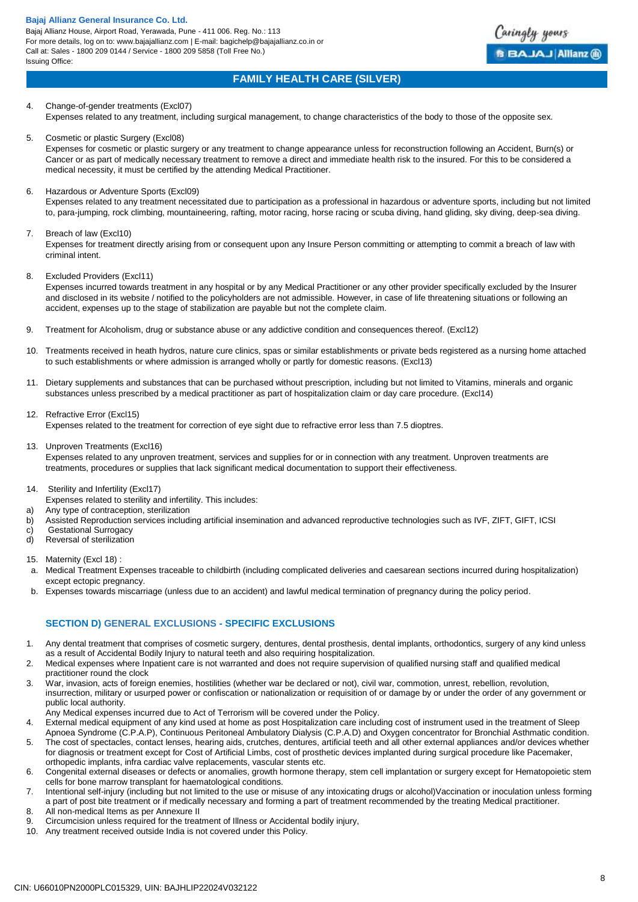Bajaj Allianz House, Airport Road, Yerawada, Pune - 411 006. Reg. No.: 113 For more details, log on to: www.bajajallianz.com | E-mail: bagichelp@bajajallianz.co.in or Call at: Sales - 1800 209 0144 / Service - 1800 209 5858 (Toll Free No.) Issuing Office:



# **FAMILY HEALTH CARE (SILVER)**

4. Change-of-gender treatments (Excl07) Expenses related to any treatment, including surgical management, to change characteristics of the body to those of the opposite sex.

5. Cosmetic or plastic Surgery (Excl08)

Expenses for cosmetic or plastic surgery or any treatment to change appearance unless for reconstruction following an Accident, Burn(s) or Cancer or as part of medically necessary treatment to remove a direct and immediate health risk to the insured. For this to be considered a medical necessity, it must be certified by the attending Medical Practitioner.

6. Hazardous or Adventure Sports (Excl09)

Expenses related to any treatment necessitated due to participation as a professional in hazardous or adventure sports, including but not limited to, para-jumping, rock climbing, mountaineering, rafting, motor racing, horse racing or scuba diving, hand gliding, sky diving, deep-sea diving.

### 7. Breach of law (Excl10)

Expenses for treatment directly arising from or consequent upon any Insure Person committing or attempting to commit a breach of law with criminal intent.

8. Excluded Providers (Excl11)

Expenses incurred towards treatment in any hospital or by any Medical Practitioner or any other provider specifically excluded by the Insurer and disclosed in its website / notified to the policyholders are not admissible. However, in case of life threatening situations or following an accident, expenses up to the stage of stabilization are payable but not the complete claim.

- 9. Treatment for Alcoholism, drug or substance abuse or any addictive condition and consequences thereof. (Excl12)
- 10. Treatments received in heath hydros, nature cure clinics, spas or similar establishments or private beds registered as a nursing home attached to such establishments or where admission is arranged wholly or partly for domestic reasons. (Excl13)
- 11. Dietary supplements and substances that can be purchased without prescription, including but not limited to Vitamins, minerals and organic substances unless prescribed by a medical practitioner as part of hospitalization claim or day care procedure. (Excl14)
- 12. Refractive Error (Excl15) Expenses related to the treatment for correction of eye sight due to refractive error less than 7.5 dioptres.
	- 13. Unproven Treatments (Excl16)

Expenses related to any unproven treatment, services and supplies for or in connection with any treatment. Unproven treatments are treatments, procedures or supplies that lack significant medical documentation to support their effectiveness.

- 14. Sterility and Infertility (Excl17)
- Expenses related to sterility and infertility. This includes:
- a) Any type of contraception, sterilization
- b) Assisted Reproduction services including artificial insemination and advanced reproductive technologies such as IVF, ZIFT, GIFT, ICSI
- c) Gestational Surrogacy
- d) Reversal of sterilization
- 15. Maternity (Excl 18) :
- a. Medical Treatment Expenses traceable to childbirth (including complicated deliveries and caesarean sections incurred during hospitalization) except ectopic pregnancy.
- b. Expenses towards miscarriage (unless due to an accident) and lawful medical termination of pregnancy during the policy period.

### **SECTION D) GENERAL EXCLUSIONS - SPECIFIC EXCLUSIONS**

- 1. Any dental treatment that comprises of cosmetic surgery, dentures, dental prosthesis, dental implants, orthodontics, surgery of any kind unless as a result of Accidental Bodily Injury to natural teeth and also requiring hospitalization.
- 2. Medical expenses where Inpatient care is not warranted and does not require supervision of qualified nursing staff and qualified medical practitioner round the clock
- 3. War, invasion, acts of foreign enemies, hostilities (whether war be declared or not), civil war, commotion, unrest, rebellion, revolution, insurrection, military or usurped power or confiscation or nationalization or requisition of or damage by or under the order of any government or public local authority.
- Any Medical expenses incurred due to Act of Terrorism will be covered under the Policy.
- 4. External medical equipment of any kind used at home as post Hospitalization care including cost of instrument used in the treatment of Sleep
- Apnoea Syndrome (C.P.A.P), Continuous Peritoneal Ambulatory Dialysis (C.P.A.D) and Oxygen concentrator for Bronchial Asthmatic condition. 5. The cost of spectacles, contact lenses, hearing aids, crutches, dentures, artificial teeth and all other external appliances and/or devices whether for diagnosis or treatment except for Cost of Artificial Limbs, cost of prosthetic devices implanted during surgical procedure like Pacemaker, orthopedic implants, infra cardiac valve replacements, vascular stents etc.
- 6. Congenital external diseases or defects or anomalies, growth hormone therapy, stem cell implantation or surgery except for Hematopoietic stem cells for bone marrow transplant for haematological conditions.
- 7. Intentional self-injury (including but not limited to the use or misuse of any intoxicating drugs or alcohol)Vaccination or inoculation unless forming a part of post bite treatment or if medically necessary and forming a part of treatment recommended by the treating Medical practitioner.
- 8. All non-medical Items as per Annexure II
- 9. Circumcision unless required for the treatment of Illness or Accidental bodily injury,<br>10. Any treatment received outside India is not covered under this Policy.
- Any treatment received outside India is not covered under this Policy.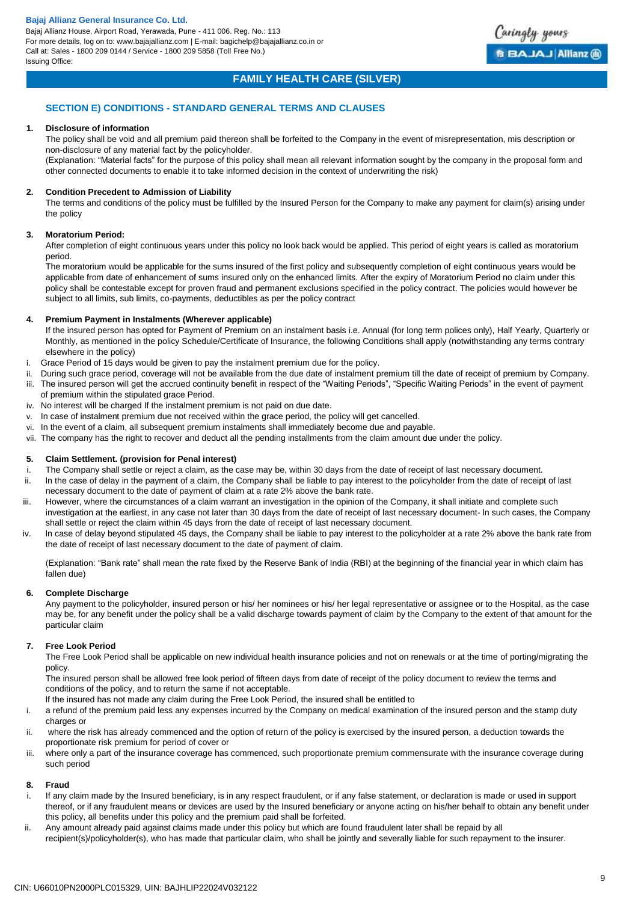

## **FAMILY HEALTH CARE (SILVER)**

### **SECTION E) CONDITIONS - STANDARD GENERAL TERMS AND CLAUSES**

### **1. Disclosure of information**

The policy shall be void and all premium paid thereon shall be forfeited to the Company in the event of misrepresentation, mis description or non-disclosure of any material fact by the policyholder.

(Explanation: "Material facts" for the purpose of this policy shall mean all relevant information sought by the company in the proposal form and other connected documents to enable it to take informed decision in the context of underwriting the risk)

### **2. Condition Precedent to Admission of Liability**

The terms and conditions of the policy must be fulfilled by the Insured Person for the Company to make any payment for claim(s) arising under the policy

### **3. Moratorium Period:**

After completion of eight continuous years under this policy no look back would be applied. This period of eight years is called as moratorium period.

The moratorium would be applicable for the sums insured of the first policy and subsequently completion of eight continuous years would be applicable from date of enhancement of sums insured only on the enhanced limits. After the expiry of Moratorium Period no claim under this policy shall be contestable except for proven fraud and permanent exclusions specified in the policy contract. The policies would however be subject to all limits, sub limits, co-payments, deductibles as per the policy contract

### **4. Premium Payment in Instalments (Wherever applicable)**

If the insured person has opted for Payment of Premium on an instalment basis i.e. Annual (for long term polices only), Half Yearly, Quarterly or Monthly, as mentioned in the policy Schedule/Certificate of Insurance, the following Conditions shall apply (notwithstanding any terms contrary elsewhere in the policy)

- i. Grace Period of 15 days would be given to pay the instalment premium due for the policy.
- ii. During such grace period, coverage will not be available from the due date of instalment premium till the date of receipt of premium by Company. iii. The insured person will get the accrued continuity benefit in respect of the "Waiting Periods", "Specific Waiting Periods" in the event of payment of premium within the stipulated grace Period.
- iv. No interest will be charged If the instalment premium is not paid on due date.
- v. In case of instalment premium due not received within the grace period, the policy will get cancelled.
- vi. In the event of a claim, all subsequent premium instalments shall immediately become due and payable.
- vii. The company has the right to recover and deduct all the pending installments from the claim amount due under the policy.

### **5. Claim Settlement. (provision for Penal interest)**

- i. The Company shall settle or reject a claim, as the case may be, within 30 days from the date of receipt of last necessary document.
- ii. In the case of delay in the payment of a claim, the Company shall be liable to pay interest to the policyholder from the date of receipt of last necessary document to the date of payment of claim at a rate 2% above the bank rate.
- iii. However, where the circumstances of a claim warrant an investigation in the opinion of the Company, it shall initiate and complete such investigation at the earliest, in any case not later than 30 days from the date of receipt of last necessary document- ln such cases, the Company shall settle or reject the claim within 45 days from the date of receipt of last necessary document.
- iv. ln case of delay beyond stipulated 45 days, the Company shall be liable to pay interest to the policyholder at a rate 2% above the bank rate from the date of receipt of last necessary document to the date of payment of claim.

(Explanation: "Bank rate" shall mean the rate fixed by the Reserve Bank of India (RBI) at the beginning of the financial year in which claim has fallen due)

### **6. Complete Discharge**

Any payment to the policyholder, insured person or his/ her nominees or his/ her legal representative or assignee or to the Hospital, as the case may be, for any benefit under the policy shall be a valid discharge towards payment of claim by the Company to the extent of that amount for the particular claim

### **7. Free Look Period**

The Free Look Period shall be applicable on new individual health insurance policies and not on renewals or at the time of porting/migrating the policy.

The insured person shall be allowed free look period of fifteen days from date of receipt of the policy document to review the terms and conditions of the policy, and to return the same if not acceptable.

lf the insured has not made any claim during the Free Look Period, the insured shall be entitled to

- i. a refund of the premium paid less any expenses incurred by the Company on medical examination of the insured person and the stamp duty charges or
- ii. where the risk has already commenced and the option of return of the policy is exercised by the insured person, a deduction towards the proportionate risk premium for period of cover or
- iii. where only a part of the insurance coverage has commenced, such proportionate premium commensurate with the insurance coverage during such period

### **8. Fraud**

- i. If any claim made by the Insured beneficiary, is in any respect fraudulent, or if any false statement, or declaration is made or used in support thereof, or if any fraudulent means or devices are used by the Insured beneficiary or anyone acting on his/her behalf to obtain any benefit under this policy, all benefits under this policy and the premium paid shall be forfeited.
- ii. Any amount already paid against claims made under this policy but which are found fraudulent later shall be repaid by all recipient(s)/policyholder(s), who has made that particular claim, who shall be jointly and severally liable for such repayment to the insurer.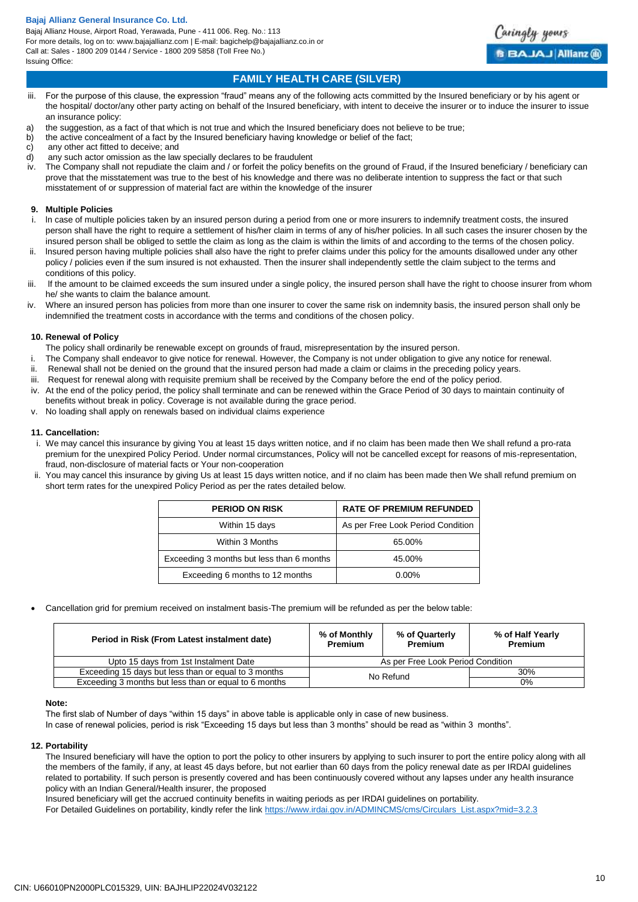

# **FAMILY HEALTH CARE (SILVER)**

- iii. For the purpose of this clause, the expression "fraud" means any of the following acts committed by the Insured beneficiary or by his agent or the hospital/ doctor/any other party acting on behalf of the Insured beneficiary, with intent to deceive the insurer or to induce the insurer to issue an insurance policy:
- a) the suggestion, as a fact of that which is not true and which the Insured beneficiary does not believe to be true;
- b) the active concealment of a fact by the Insured beneficiary having knowledge or belief of the fact;
- c) any other act fitted to deceive; and<br>d) any such actor omission as the law
- any such actor omission as the law specially declares to be fraudulent
- iv. The Company shall not repudiate the claim and / or forfeit the policy benefits on the ground of Fraud, if the Insured beneficiary / beneficiary can prove that the misstatement was true to the best of his knowledge and there was no deliberate intention to suppress the fact or that such misstatement of or suppression of material fact are within the knowledge of the insurer

### **9. Multiple Policies**

- i. ln case of multiple policies taken by an insured person during a period from one or more insurers to indemnify treatment costs, the insured person shall have the right to require a settlement of his/her claim in terms of any of his/her policies. ln all such cases the insurer chosen by the insured person shall be obliged to settle the claim as long as the claim is within the limits of and according to the terms of the chosen policy.
- ii. lnsured person having multiple policies shall also have the right to prefer claims under this policy for the amounts disallowed under any other policy / policies even if the sum insured is not exhausted. Then the insurer shall independently settle the claim subject to the terms and conditions of this policy.
- iii. If the amount to be claimed exceeds the sum insured under a single policy, the insured person shall have the right to choose insurer from whom he/ she wants to claim the balance amount.
- iv. Where an insured person has policies from more than one insurer to cover the same risk on indemnity basis, the insured person shall only be indemnified the treatment costs in accordance with the terms and conditions of the chosen policy.

### **10. Renewal of Policy**

- The policy shall ordinarily be renewable except on grounds of fraud, misrepresentation by the insured person.
- i. The Company shall endeavor to give notice for renewal. However, the Company is not under obligation to give any notice for renewal.
- ii. Renewal shall not be denied on the ground that the insured person had made a claim or claims in the preceding policy years.
- iii. Request for renewal along with requisite premium shall be received by the Company before the end of the policy period.
- iv. At the end of the policy period, the policy shall terminate and can be renewed within the Grace Period of 30 days to maintain continuity of benefits without break in policy. Coverage is not available during the grace period.
- No loading shall apply on renewals based on individual claims experience

### **11. Cancellation:**

- i. We may cancel this insurance by giving You at least 15 days written notice, and if no claim has been made then We shall refund a pro-rata premium for the unexpired Policy Period. Under normal circumstances, Policy will not be cancelled except for reasons of mis-representation, fraud, non-disclosure of material facts or Your non-cooperation
- ii. You may cancel this insurance by giving Us at least 15 days written notice, and if no claim has been made then We shall refund premium on short term rates for the unexpired Policy Period as per the rates detailed below.

| <b>PERIOD ON RISK</b>                     | <b>RATE OF PREMIUM REFUNDED</b>   |
|-------------------------------------------|-----------------------------------|
| Within 15 days                            | As per Free Look Period Condition |
| Within 3 Months                           | 65.00%                            |
| Exceeding 3 months but less than 6 months | 45.00%                            |
| Exceeding 6 months to 12 months           | $0.00\%$                          |

Cancellation grid for premium received on instalment basis-The premium will be refunded as per the below table:

| Period in Risk (From Latest instalment date)          | % of Monthly<br><b>Premium</b>    | % of Quarterly<br><b>Premium</b> | % of Half Yearly<br><b>Premium</b> |
|-------------------------------------------------------|-----------------------------------|----------------------------------|------------------------------------|
| Upto 15 days from 1st Instalment Date                 | As per Free Look Period Condition |                                  |                                    |
| Exceeding 15 days but less than or equal to 3 months  | 30%<br>No Refund                  |                                  |                                    |
| Exceeding 3 months but less than or equal to 6 months | 0%                                |                                  |                                    |

### **Note:**

The first slab of Number of days "within 15 days" in above table is applicable only in case of new business.

In case of renewal policies, period is risk "Exceeding 15 days but less than 3 months" should be read as "within 3 months".

### **12. Portability**

The Insured beneficiary will have the option to port the policy to other insurers by applying to such insurer to port the entire policy along with all the members of the family, if any, at least 45 days before, but not earlier than 60 days from the policy renewal date as per IRDAI guidelines related to portability. If such person is presently covered and has been continuously covered without any lapses under any health insurance policy with an Indian General/Health insurer, the proposed

Insured beneficiary will get the accrued continuity benefits in waiting periods as per IRDAI guidelines on portability.

For Detailed Guidelines on portability, kindly refer the link [https://www.irdai.gov.in/ADMINCMS/cms/Circulars\\_List.aspx?mid=3.2.3](https://www.irdai.gov.in/ADMINCMS/cms/Circulars_List.aspx?mid=3.2.3)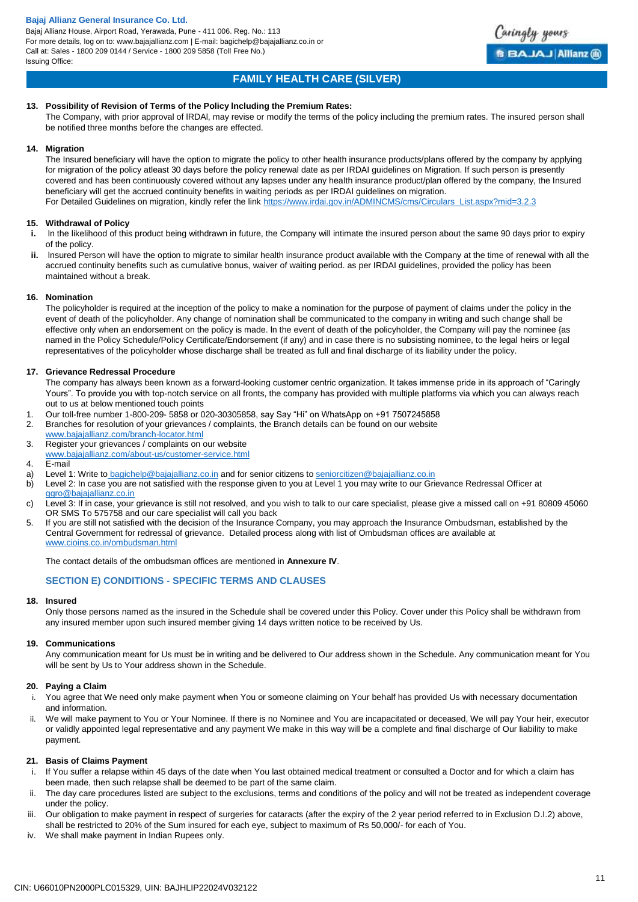Bajaj Allianz House, Airport Road, Yerawada, Pune - 411 006. Reg. No.: 113 For more details, log on to: www.bajajallianz.com | E-mail: bagichelp@bajajallianz.co.in or Call at: Sales - 1800 209 0144 / Service - 1800 209 5858 (Toll Free No.) Issuing Office:



# **FAMILY HEALTH CARE (SILVER)**

### **13. Possibility of Revision of Terms of the Policy lncluding the Premium Rates:**

The Company, with prior approval of lRDAl, may revise or modify the terms of the policy including the premium rates. The insured person shall be notified three months before the changes are effected.

#### **14. Migration**

The Insured beneficiary will have the option to migrate the policy to other health insurance products/plans offered by the company by applying for migration of the policy atleast 30 days before the policy renewal date as per IRDAI guidelines on Migration. If such person is presently covered and has been continuously covered without any lapses under any health insurance product/plan offered by the company, the Insured beneficiary will get the accrued continuity benefits in waiting periods as per IRDAI guidelines on migration. For Detailed Guidelines on migration, kindly refer the link [https://www.irdai.gov.in/ADMINCMS/cms/Circulars\\_List.aspx?mid=3.2.3](https://www.irdai.gov.in/ADMINCMS/cms/Circulars_List.aspx?mid=3.2.3)

### **15. Withdrawal of Policy**

- In the likelihood of this product being withdrawn in future, the Company will intimate the insured person about the same 90 days prior to expiry of the policy.
- **ii.** Insured Person will have the option to migrate to similar health insurance product available with the Company at the time of renewal with all the accrued continuity benefits such as cumulative bonus, waiver of waiting period. as per IRDAI guidelines, provided the policy has been maintained without a break.

### **16. Nomination**

The policyholder is required at the inception of the policy to make a nomination for the purpose of payment of claims under the policy in the event of death of the policyholder. Any change of nomination shall be communicated to the company in writing and such change shall be effective only when an endorsement on the policy is made. ln the event of death of the policyholder, the Company will pay the nominee {as named in the Policy Schedule/Policy Certificate/Endorsement (if any) and in case there is no subsisting nominee, to the legal heirs or legal representatives of the policyholder whose discharge shall be treated as full and final discharge of its liability under the policy.

### **17. Grievance Redressal Procedure**

The company has always been known as a forward-looking customer centric organization. It takes immense pride in its approach of "Caringly Yours". To provide you with top-notch service on all fronts, the company has provided with multiple platforms via which you can always reach out to us at below mentioned touch points

- 1. Our toll-free number 1-800-209- 5858 or 020-30305858, say Say "Hi" on WhatsApp on +91 7507245858
- 2. Branches for resolution of your grievances / complaints, the Branch details can be found on our website
- [www.bajajallianz.com/branch-locator.html](http://www.bajajallianz.com/branch-locator.html)
- 3. Register your grievances / complaints on our website
- [www.bajajallianz.com/about-us/customer-service.html](http://www.bajajallianz.com/about-us/customer-service.html)
- 4. E-mail
- a) Level 1: Write to [bagichelp@bajajallianz.co.in](mailto:bagichelp@bajajallianz.co.in) and for senior citizens to [seniorcitizen@bajajallianz.co.in](mailto:seniorcitizen@bajajallianz.co.in)
- b) Level 2: In case you are not satisfied with the response given to you at Level 1 you may write to our Grievance Redressal Officer at [ggro@bajajallianz.co.in](mailto:ggro@bajajallianz.co.in)
- c) Level 3: If in case, your grievance is still not resolved, and you wish to talk to our care specialist, please give a missed call on +91 80809 45060 OR SMS To 575758 and our care specialist will call you back
- 5. If you are still not satisfied with the decision of the Insurance Company, you may approach the Insurance Ombudsman, established by the Central Government for redressal of grievance. Detailed process along with list of Ombudsman offices are available at [www.cioins.co.in/ombudsman.html](http://www.cioins.co.in/ombudsman.html)

The contact details of the ombudsman offices are mentioned in **Annexure IV**.

### **SECTION E) CONDITIONS - SPECIFIC TERMS AND CLAUSES**

### **18. Insured**

Only those persons named as the insured in the Schedule shall be covered under this Policy. Cover under this Policy shall be withdrawn from any insured member upon such insured member giving 14 days written notice to be received by Us.

### **19. Communications**

Any communication meant for Us must be in writing and be delivered to Our address shown in the Schedule. Any communication meant for You will be sent by Us to Your address shown in the Schedule.

### **20. Paying a Claim**

i. You agree that We need only make payment when You or someone claiming on Your behalf has provided Us with necessary documentation and information.

ii. We will make payment to You or Your Nominee. If there is no Nominee and You are incapacitated or deceased, We will pay Your heir, executor or validly appointed legal representative and any payment We make in this way will be a complete and final discharge of Our liability to make payment.

### **21. Basis of Claims Payment**

- i. If You suffer a relapse within 45 days of the date when You last obtained medical treatment or consulted a Doctor and for which a claim has been made, then such relapse shall be deemed to be part of the same claim.
- ii. The day care procedures listed are subject to the exclusions, terms and conditions of the policy and will not be treated as independent coverage under the policy.
- iii. Our obligation to make payment in respect of surgeries for cataracts (after the expiry of the 2 year period referred to in Exclusion D.I.2) above, shall be restricted to 20% of the Sum insured for each eye, subject to maximum of Rs 50,000/- for each of You.
- iv. We shall make payment in Indian Rupees only.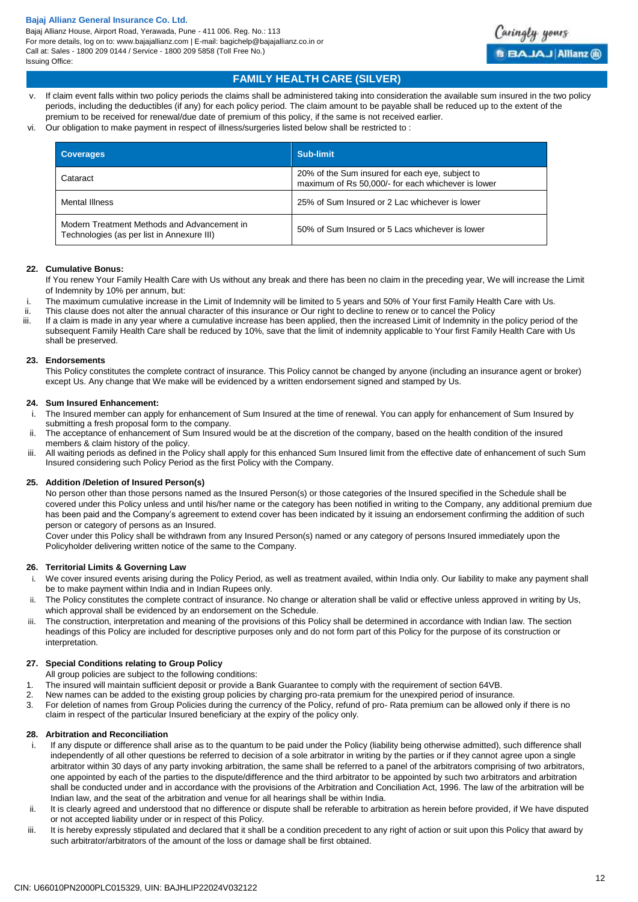Bajaj Allianz House, Airport Road, Yerawada, Pune - 411 006. Reg. No.: 113 For more details, log on to: www.bajajallianz.com | E-mail: bagichelp@bajajallianz.co.in or Call at: Sales - 1800 209 0144 / Service - 1800 209 5858 (Toll Free No.) Issuing Office:



## **FAMILY HEALTH CARE (SILVER)**

- v. If claim event falls within two policy periods the claims shall be administered taking into consideration the available sum insured in the two policy periods, including the deductibles (if any) for each policy period. The claim amount to be payable shall be reduced up to the extent of the premium to be received for renewal/due date of premium of this policy, if the same is not received earlier.
- vi. Our obligation to make payment in respect of illness/surgeries listed below shall be restricted to :

| <b>Coverages</b>                                                                          | Sub-limit                                                                                             |
|-------------------------------------------------------------------------------------------|-------------------------------------------------------------------------------------------------------|
| Cataract                                                                                  | 20% of the Sum insured for each eye, subject to<br>maximum of Rs 50,000/- for each whichever is lower |
| Mental Illness                                                                            | 25% of Sum Insured or 2 Lac whichever is lower                                                        |
| Modern Treatment Methods and Advancement in<br>Technologies (as per list in Annexure III) | 50% of Sum Insured or 5 Lacs whichever is lower                                                       |

### **22. Cumulative Bonus:**

If You renew Your Family Health Care with Us without any break and there has been no claim in the preceding year, We will increase the Limit of Indemnity by 10% per annum, but:

- i. The maximum cumulative increase in the Limit of Indemnity will be limited to 5 years and 50% of Your first Family Health Care with Us.
- ii. This clause does not alter the annual character of this insurance or Our right to decline to renew or to cancel the Policy
- If a claim is made in any year where a cumulative increase has been applied, then the increased Limit of Indemnity in the policy period of the subsequent Family Health Care shall be reduced by 10%, save that the limit of indemnity applicable to Your first Family Health Care with Us shall be preserved.

### **23. Endorsements**

This Policy constitutes the complete contract of insurance. This Policy cannot be changed by anyone (including an insurance agent or broker) except Us. Any change that We make will be evidenced by a written endorsement signed and stamped by Us.

### **24. Sum Insured Enhancement:**

- i. The Insured member can apply for enhancement of Sum Insured at the time of renewal. You can apply for enhancement of Sum Insured by submitting a fresh proposal form to the company.
- ii. The acceptance of enhancement of Sum Insured would be at the discretion of the company, based on the health condition of the insured members & claim history of the policy.
- iii. All waiting periods as defined in the Policy shall apply for this enhanced Sum Insured limit from the effective date of enhancement of such Sum Insured considering such Policy Period as the first Policy with the Company.

### **25. Addition /Deletion of Insured Person(s)**

No person other than those persons named as the Insured Person(s) or those categories of the Insured specified in the Schedule shall be covered under this Policy unless and until his/her name or the category has been notified in writing to the Company, any additional premium due has been paid and the Company's agreement to extend cover has been indicated by it issuing an endorsement confirming the addition of such person or category of persons as an Insured.

Cover under this Policy shall be withdrawn from any Insured Person(s) named or any category of persons Insured immediately upon the Policyholder delivering written notice of the same to the Company.

### **26. Territorial Limits & Governing Law**

- i. We cover insured events arising during the Policy Period, as well as treatment availed, within India only. Our liability to make any payment shall be to make payment within India and in Indian Rupees only.
- ii. The Policy constitutes the complete contract of insurance. No change or alteration shall be valid or effective unless approved in writing by Us, which approval shall be evidenced by an endorsement on the Schedule.
- iii. The construction, interpretation and meaning of the provisions of this Policy shall be determined in accordance with Indian law. The section headings of this Policy are included for descriptive purposes only and do not form part of this Policy for the purpose of its construction or interpretation.

### **27. Special Conditions relating to Group Policy**

- All group policies are subject to the following conditions:
- 1. The insured will maintain sufficient deposit or provide a Bank Guarantee to comply with the requirement of section 64VB.
- 2. New names can be added to the existing group policies by charging pro-rata premium for the unexpired period of insurance.
- 3. For deletion of names from Group Policies during the currency of the Policy, refund of pro- Rata premium can be allowed only if there is no claim in respect of the particular Insured beneficiary at the expiry of the policy only.

### **28. Arbitration and Reconciliation**

- i. If any dispute or difference shall arise as to the quantum to be paid under the Policy (liability being otherwise admitted), such difference shall independently of all other questions be referred to decision of a sole arbitrator in writing by the parties or if they cannot agree upon a single arbitrator within 30 days of any party invoking arbitration, the same shall be referred to a panel of the arbitrators comprising of two arbitrators, one appointed by each of the parties to the dispute/difference and the third arbitrator to be appointed by such two arbitrators and arbitration shall be conducted under and in accordance with the provisions of the Arbitration and Conciliation Act, 1996. The law of the arbitration will be Indian law, and the seat of the arbitration and venue for all hearings shall be within India.
- ii. It is clearly agreed and understood that no difference or dispute shall be referable to arbitration as herein before provided, if We have disputed or not accepted liability under or in respect of this Policy.
- iii. It is hereby expressly stipulated and declared that it shall be a condition precedent to any right of action or suit upon this Policy that award by such arbitrator/arbitrators of the amount of the loss or damage shall be first obtained.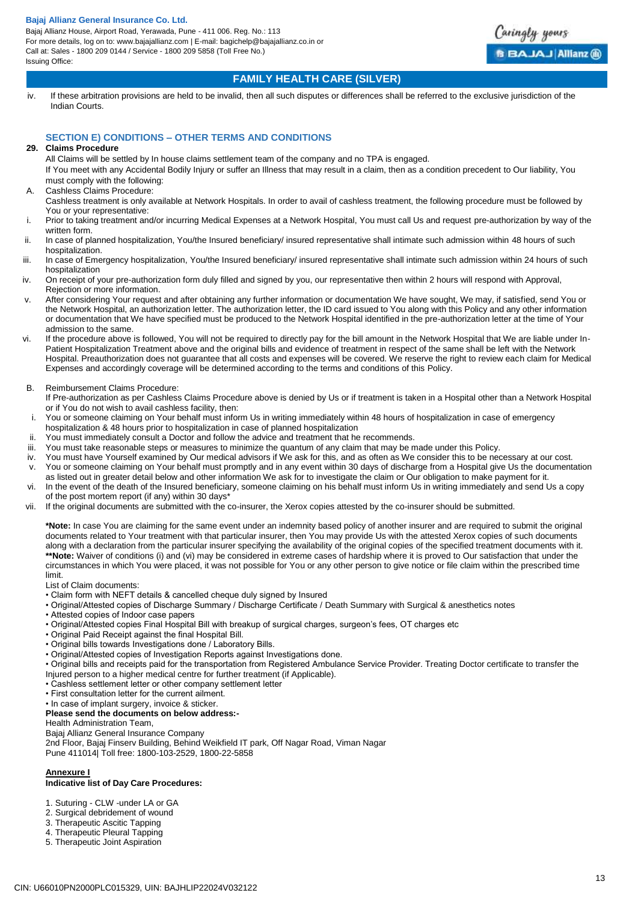Bajaj Allianz House, Airport Road, Yerawada, Pune - 411 006. Reg. No.: 113 For more details, log on to: www.bajajallianz.com | E-mail: bagichelp@bajajallianz.co.in or Call at: Sales - 1800 209 0144 / Service - 1800 209 5858 (Toll Free No.) Issuing Office:



## **FAMILY HEALTH CARE (SILVER)**

iv. If these arbitration provisions are held to be invalid, then all such disputes or differences shall be referred to the exclusive jurisdiction of the Indian Courts.

## **SECTION E) CONDITIONS – OTHER TERMS AND CONDITIONS**

### **29. Claims Procedure**

All Claims will be settled by In house claims settlement team of the company and no TPA is engaged.

If You meet with any Accidental Bodily Injury or suffer an Illness that may result in a claim, then as a condition precedent to Our liability, You must comply with the following:

- A. Cashless Claims Procedure:
- Cashless treatment is only available at Network Hospitals. In order to avail of cashless treatment, the following procedure must be followed by You or your representative:
- i. Prior to taking treatment and/or incurring Medical Expenses at a Network Hospital, You must call Us and request pre-authorization by way of the written form.
- ii. In case of planned hospitalization, You/the Insured beneficiary/ insured representative shall intimate such admission within 48 hours of such hospitalization.
- iii. In case of Emergency hospitalization, You/the Insured beneficiary/ insured representative shall intimate such admission within 24 hours of such hospitalization
- iv. On receipt of your pre-authorization form duly filled and signed by you, our representative then within 2 hours will respond with Approval, Rejection or more information.
- v. After considering Your request and after obtaining any further information or documentation We have sought, We may, if satisfied, send You or the Network Hospital, an authorization letter. The authorization letter, the ID card issued to You along with this Policy and any other information or documentation that We have specified must be produced to the Network Hospital identified in the pre-authorization letter at the time of Your admission to the same.
- vi. If the procedure above is followed, You will not be required to directly pay for the bill amount in the Network Hospital that We are liable under In-Patient Hospitalization Treatment above and the original bills and evidence of treatment in respect of the same shall be left with the Network Hospital. Preauthorization does not guarantee that all costs and expenses will be covered. We reserve the right to review each claim for Medical Expenses and accordingly coverage will be determined according to the terms and conditions of this Policy.
- B. Reimbursement Claims Procedure:

If Pre-authorization as per Cashless Claims Procedure above is denied by Us or if treatment is taken in a Hospital other than a Network Hospital or if You do not wish to avail cashless facility, then:

- i. You or someone claiming on Your behalf must inform Us in writing immediately within 48 hours of hospitalization in case of emergency hospitalization & 48 hours prior to hospitalization in case of planned hospitalization
- ii. You must immediately consult a Doctor and follow the advice and treatment that he recommends.
- iii. You must take reasonable steps or measures to minimize the quantum of any claim that may be made under this Policy.
- iv. You must have Yourself examined by Our medical advisors if We ask for this, and as often as We consider this to be necessary at our cost. v. You or someone claiming on Your behalf must promptly and in any event within 30 days of discharge from a Hospital give Us the documentation as listed out in greater detail below and other information We ask for to investigate the claim or Our obligation to make payment for it.
- vi. In the event of the death of the Insured beneficiary, someone claiming on his behalf must inform Us in writing immediately and send Us a copy of the post mortem report (if any) within 30 days\*
- vii. If the original documents are submitted with the co-insurer, the Xerox copies attested by the co-insurer should be submitted.

**\*Note:** In case You are claiming for the same event under an indemnity based policy of another insurer and are required to submit the original documents related to Your treatment with that particular insurer, then You may provide Us with the attested Xerox copies of such documents along with a declaration from the particular insurer specifying the availability of the original copies of the specified treatment documents with it. **\*\*Note:** Waiver of conditions (i) and (vi) may be considered in extreme cases of hardship where it is proved to Our satisfaction that under the circumstances in which You were placed, it was not possible for You or any other person to give notice or file claim within the prescribed time limit.

List of Claim documents:

- Claim form with NEFT details & cancelled cheque duly signed by Insured
- Original/Attested copies of Discharge Summary / Discharge Certificate / Death Summary with Surgical & anesthetics notes
- Attested copies of Indoor case papers
- Original/Attested copies Final Hospital Bill with breakup of surgical charges, surgeon's fees, OT charges etc
- Original Paid Receipt against the final Hospital Bill.
- Original bills towards Investigations done / Laboratory Bills.
- Original/Attested copies of Investigation Reports against Investigations done.
- Original bills and receipts paid for the transportation from Registered Ambulance Service Provider. Treating Doctor certificate to transfer the Injured person to a higher medical centre for further treatment (if Applicable).
- Cashless settlement letter or other company settlement letter
- First consultation letter for the current ailment.
- In case of implant surgery, invoice & sticker.

### **Please send the documents on below address:-**

#### Health Administration Team,

Bajaj Allianz General Insurance Company

2nd Floor, Bajaj Finserv Building, Behind Weikfield IT park, Off Nagar Road, Viman Nagar

Pune 411014| Toll free: 1800-103-2529, 1800-22-5858

# **Annexure I**

### **Indicative list of Day Care Procedures:**

- 1. Suturing CLW -under LA or GA
- 2. Surgical debridement of wound
- 3. Therapeutic Ascitic Tapping
- 4. Therapeutic Pleural Tapping
- 5. Therapeutic Joint Aspiration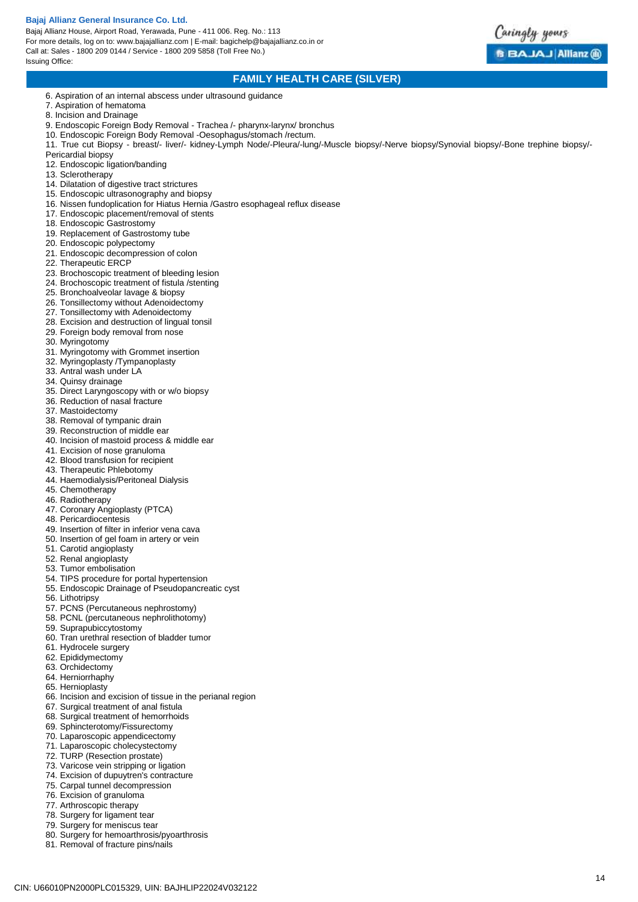Bajaj Allianz House, Airport Road, Yerawada, Pune - 411 006. Reg. No.: 113 For more details, log on to: www.bajajallianz.com | E-mail: bagichelp@bajajallianz.co.in or Call at: Sales - 1800 209 0144 / Service - 1800 209 5858 (Toll Free No.) Issuing Office:



## **FAMILY HEALTH CARE (SILVER)**

- 6. Aspiration of an internal abscess under ultrasound guidance
- 7. Aspiration of hematoma
- 8. Incision and Drainage
- 9. Endoscopic Foreign Body Removal Trachea /- pharynx-larynx/ bronchus
- 10. Endoscopic Foreign Body Removal -Oesophagus/stomach /rectum.

11. True cut Biopsy - breast/- liver/- kidney-Lymph Node/-Pleura/-lung/-Muscle biopsy/-Nerve biopsy/Synovial biopsy/-Bone trephine biopsy/- Pericardial biopsy

- 12. Endoscopic ligation/banding
- 13. Sclerotherapy
- 14. Dilatation of digestive tract strictures
- 15. Endoscopic ultrasonography and biopsy
- 16. Nissen fundoplication for Hiatus Hernia /Gastro esophageal reflux disease
- 17. Endoscopic placement/removal of stents
- 18. Endoscopic Gastrostomy
- 19. Replacement of Gastrostomy tube
- 20. Endoscopic polypectomy
- 21. Endoscopic decompression of colon
- 22. Therapeutic ERCP
- 23. Brochoscopic treatment of bleeding lesion
- 24. Brochoscopic treatment of fistula /stenting
- 25. Bronchoalveolar lavage & biopsy
- 26. Tonsillectomy without Adenoidectomy
- 27. Tonsillectomy with Adenoidectomy
- 28. Excision and destruction of lingual tonsil
- 29. Foreign body removal from nose
- 30. Myringotomy
- 31. Myringotomy with Grommet insertion
- 32. Myringoplasty /Tympanoplasty
- 33. Antral wash under LA
- 34. Quinsy drainage
- 35. Direct Laryngoscopy with or w/o biopsy
- 36. Reduction of nasal fracture
- 37. Mastoidectomy
- 38. Removal of tympanic drain
- 39. Reconstruction of middle ear
- 40. Incision of mastoid process & middle ear
- 41. Excision of nose granuloma
- 42. Blood transfusion for recipient
- 43. Therapeutic Phlebotomy
- 44. Haemodialysis/Peritoneal Dialysis
- 45. Chemotherapy
- 46. Radiotherapy
- 47. Coronary Angioplasty (PTCA)
- 48. Pericardiocentesis
- 49. Insertion of filter in inferior vena cava
- 50. Insertion of gel foam in artery or vein
- 51. Carotid angioplasty
- 52. Renal angioplasty
- 53. Tumor embolisation
- 54. TIPS procedure for portal hypertension
- 55. Endoscopic Drainage of Pseudopancreatic cyst
- 56. Lithotripsy
- 57. PCNS (Percutaneous nephrostomy)
- 58. PCNL (percutaneous nephrolithotomy)
- 59. Suprapubiccytostomy
- 60. Tran urethral resection of bladder tumor
- 61. Hydrocele surgery
- 62. Epididymectomy
- 63. Orchidectomy
- 64. Herniorrhaphy
- 65. Hernioplasty
- 66. Incision and excision of tissue in the perianal region
- 67. Surgical treatment of anal fistula
- 68. Surgical treatment of hemorrhoids
- 69. Sphincterotomy/Fissurectomy
- 70. Laparoscopic appendicectomy
- 71. Laparoscopic cholecystectomy
- 72. TURP (Resection prostate)
- 73. Varicose vein stripping or ligation
- 74. Excision of dupuytren's contracture
- 75. Carpal tunnel decompression
- 76. Excision of granuloma
- 77. Arthroscopic therapy
- 78. Surgery for ligament tear
- 79. Surgery for meniscus tear
- 80. Surgery for hemoarthrosis/pyoarthrosis 81. Removal of fracture pins/nails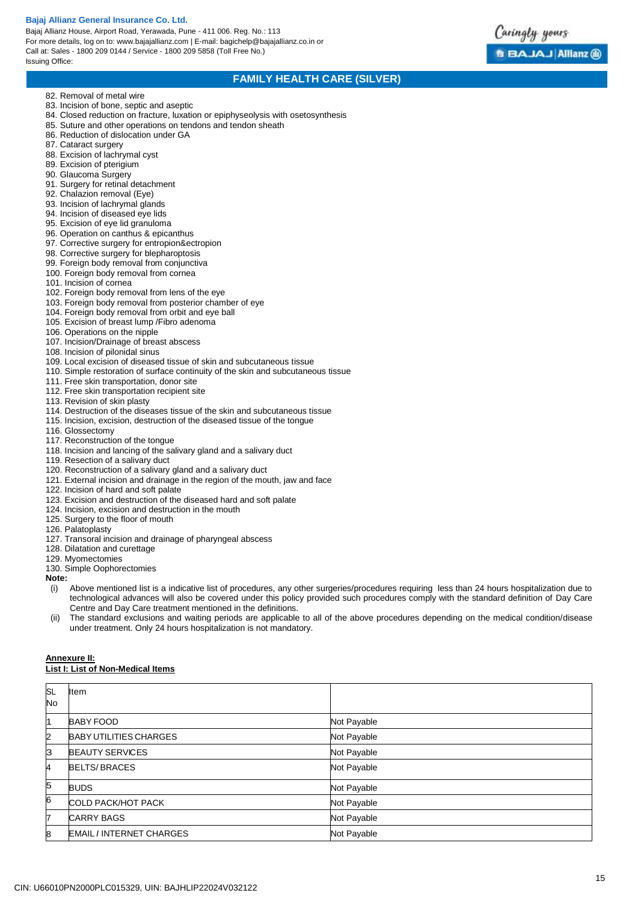Bajaj Allianz House, Airport Road, Yerawada, Pune - 411 006. Reg. No.: 113 For more details, log on to: www.bajajallianz.com | E-mail: bagichelp@bajajallianz.co.in or Call at: Sales - 1800 209 0144 / Service - 1800 209 5858 (Toll Free No.) Issuing Office:



## **FAMILY HEALTH CARE (SILVER)**

- 82. Removal of metal wire
- 83. Incision of bone, septic and aseptic
- 84. Closed reduction on fracture, luxation or epiphyseolysis with osetosynthesis
- 85. Suture and other operations on tendons and tendon sheath
- 86. Reduction of dislocation under GA
- 87. Cataract surgery
- 88. Excision of lachrymal cyst
- 89. Excision of pterigium
- 90. Glaucoma Surgery
- 91. Surgery for retinal detachment
- 92. Chalazion removal (Eye)
- 93. Incision of lachrymal glands
- 94. Incision of diseased eye lids
- 95. Excision of eye lid granuloma
- 96. Operation on canthus & epicanthus
- 97. Corrective surgery for entropion&ectropion
- 98. Corrective surgery for blepharoptosis
- 99. Foreign body removal from conjunctiva
- 100. Foreign body removal from cornea
- 101. Incision of cornea
- 102. Foreign body removal from lens of the eye
- 103. Foreign body removal from posterior chamber of eye
- 104. Foreign body removal from orbit and eye ball
- 105. Excision of breast lump /Fibro adenoma
- 106. Operations on the nipple
- 107. Incision/Drainage of breast abscess
- 108. Incision of pilonidal sinus
- 109. Local excision of diseased tissue of skin and subcutaneous tissue
- 110. Simple restoration of surface continuity of the skin and subcutaneous tissue
- 111. Free skin transportation, donor site
- 112. Free skin transportation recipient site
- 113. Revision of skin plasty
- 114. Destruction of the diseases tissue of the skin and subcutaneous tissue
- 115. Incision, excision, destruction of the diseased tissue of the tongue
- 116. Glossectomy
- 117. Reconstruction of the tongue
- 118. Incision and lancing of the salivary gland and a salivary duct
- 119. Resection of a salivary duct
- 120. Reconstruction of a salivary gland and a salivary duct
- 121. External incision and drainage in the region of the mouth, jaw and face
- 122. Incision of hard and soft palate
- 123. Excision and destruction of the diseased hard and soft palate
- 124. Incision, excision and destruction in the mouth
- 125. Surgery to the floor of mouth
- 126. Palatoplasty
- 127. Transoral incision and drainage of pharyngeal abscess
- 128. Dilatation and curettage
- 129. Myomectomies
- 130. Simple Oophorectomies

**Note:** 

- (i) Above mentioned list is a indicative list of procedures, any other surgeries/procedures requiring less than 24 hours hospitalization due to technological advances will also be covered under this policy provided such procedures comply with the standard definition of Day Care Centre and Day Care treatment mentioned in the definitions.
- (ii) The standard exclusions and waiting periods are applicable to all of the above procedures depending on the medical condition/disease under treatment. Only 24 hours hospitalization is not mandatory.

# **Annexure II:**

# **List I: List of Non-Medical Items**

| SL<br>No | Item                            |             |
|----------|---------------------------------|-------------|
| 11       | <b>BABY FOOD</b>                | Not Payable |
| 2        | <b>BABY UTILITIES CHARGES</b>   | Not Payable |
| З        | <b>BEAUTY SERVICES</b>          | Not Payable |
| 4        | <b>BELTS/BRACES</b>             | Not Payable |
| 5        | <b>BUDS</b>                     | Not Payable |
| 6        | COLD PACK/HOT PACK              | Not Payable |
| 7        | <b>CARRY BAGS</b>               | Not Payable |
| 8        | <b>EMAIL / INTERNET CHARGES</b> | Not Payable |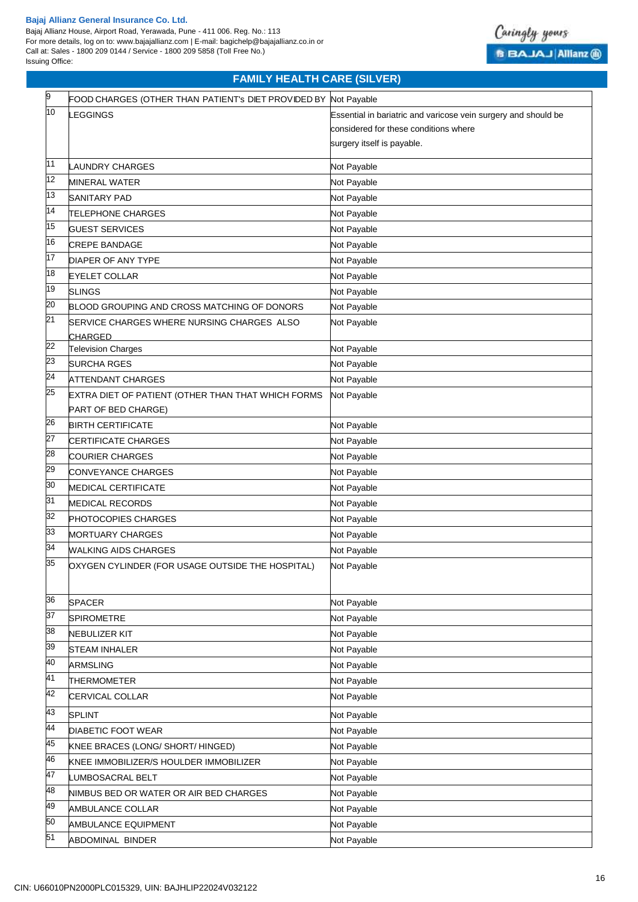

# **FAMILY HEALTH CARE (SILVER)**

| 9  | FOOD CHARGES (OTHER THAN PATIENT's DIET PROVIDED BY Not Payable |                                                                |
|----|-----------------------------------------------------------------|----------------------------------------------------------------|
| 10 | <b>LEGGINGS</b>                                                 | Essential in bariatric and varicose vein surgery and should be |
|    |                                                                 | considered for these conditions where                          |
|    |                                                                 | surgery itself is payable.                                     |
| 11 | <b>LAUNDRY CHARGES</b>                                          | Not Payable                                                    |
| 12 | <b>MINERAL WATER</b>                                            | Not Payable                                                    |
| 13 | SANITARY PAD                                                    | Not Payable                                                    |
| 14 | <b>TELEPHONE CHARGES</b>                                        | Not Payable                                                    |
| 15 | <b>GUEST SERVICES</b>                                           | Not Payable                                                    |
| 16 | <b>CREPE BANDAGE</b>                                            | Not Payable                                                    |
| 17 | DIAPER OF ANY TYPE                                              | Not Payable                                                    |
| 18 | <b>EYELET COLLAR</b>                                            | Not Payable                                                    |
| 19 | <b>SLINGS</b>                                                   | Not Payable                                                    |
| 20 | BLOOD GROUPING AND CROSS MATCHING OF DONORS                     | Not Payable                                                    |
| 21 | SERVICE CHARGES WHERE NURSING CHARGES ALSO                      | Not Payable                                                    |
|    | <b>CHARGED</b>                                                  |                                                                |
| 22 | <b>Television Charges</b>                                       | Not Payable                                                    |
| 23 | <b>SURCHA RGES</b>                                              | Not Payable                                                    |
| 24 | <b>ATTENDANT CHARGES</b>                                        | Not Payable                                                    |
| 25 | EXTRA DIET OF PATIENT (OTHER THAN THAT WHICH FORMS              | Not Payable                                                    |
|    | PART OF BED CHARGE)                                             |                                                                |
| 26 | <b>BIRTH CERTIFICATE</b>                                        | Not Payable                                                    |
| 27 | CERTIFICATE CHARGES                                             | Not Payable                                                    |
| 28 | <b>COURIER CHARGES</b>                                          | Not Payable                                                    |
| 29 | <b>CONVEYANCE CHARGES</b>                                       | Not Payable                                                    |
| 30 | <b>MEDICAL CERTIFICATE</b>                                      | Not Payable                                                    |
| 31 | <b>MEDICAL RECORDS</b>                                          | Not Payable                                                    |
| 32 | PHOTOCOPIES CHARGES                                             | Not Payable                                                    |
| 33 | <b>MORTUARY CHARGES</b>                                         | Not Payable                                                    |
| 34 | WALKING AIDS CHARGES                                            | Not Payable                                                    |
| 35 | OXYGEN CYLINDER (FOR USAGE OUTSIDE THE HOSPITAL)                | Not Payable                                                    |
|    |                                                                 |                                                                |
| 36 | <b>SPACER</b>                                                   | Not Payable                                                    |
| 37 | <b>SPIROMETRE</b>                                               | Not Payable                                                    |
| 38 | <b>NEBULIZER KIT</b>                                            | Not Payable                                                    |
| 39 | <b>STEAM INHALER</b>                                            | Not Payable                                                    |
| 40 | <b>ARMSLING</b>                                                 | Not Payable                                                    |
| 41 | <b>THERMOMETER</b>                                              | Not Payable                                                    |
| 42 | CERVICAL COLLAR                                                 | Not Payable                                                    |
| 43 | <b>SPLINT</b>                                                   | Not Payable                                                    |
| 44 | DIABETIC FOOT WEAR                                              | Not Payable                                                    |
| 45 | KNEE BRACES (LONG/ SHORT/ HINGED)                               | Not Payable                                                    |
| 46 | KNEE IMMOBILIZER/S HOULDER IMMOBILIZER                          | Not Payable                                                    |
| 47 | LUMBOSACRAL BELT                                                | Not Payable                                                    |
| 48 | NIMBUS BED OR WATER OR AIR BED CHARGES                          | Not Payable                                                    |
| 49 | AMBULANCE COLLAR                                                | Not Payable                                                    |
| 50 | AMBULANCE EQUIPMENT                                             | Not Payable                                                    |
| 51 | <b>ABDOMINAL BINDER</b>                                         | Not Payable                                                    |
|    |                                                                 |                                                                |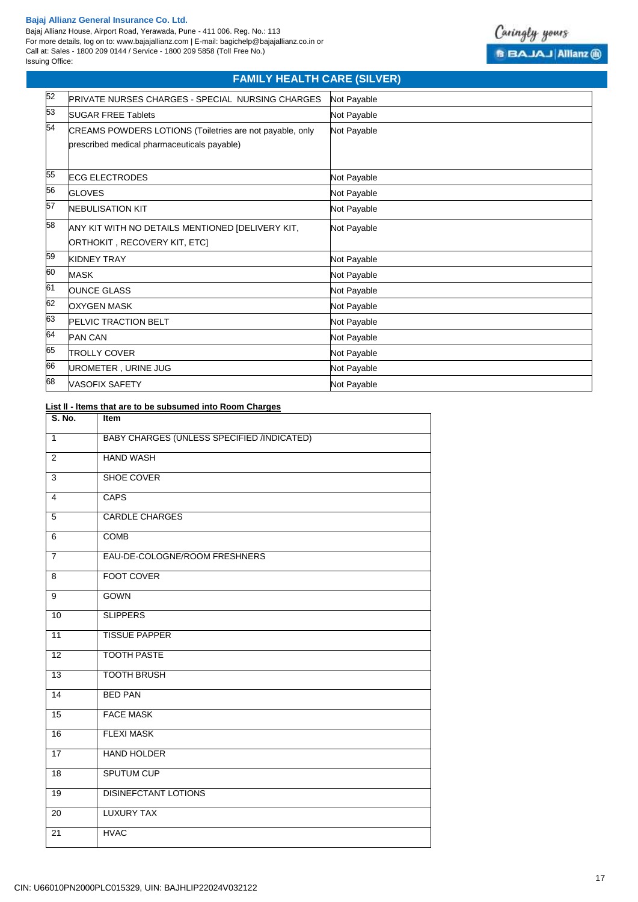Bajaj Allianz House, Airport Road, Yerawada, Pune - 411 006. Reg. No.: 113 For more details, log on to: www.bajajallianz.com | E-mail: bagichelp@bajajallianz.co.in or Call at: Sales - 1800 209 0144 / Service - 1800 209 5858 (Toll Free No.) Issuing Office:



# **FAMILY HEALTH CARE (SILVER)**

| 52 | <b>PRIVATE NURSES CHARGES - SPECIAL NURSING CHARGES</b>                                                 | Not Payable |
|----|---------------------------------------------------------------------------------------------------------|-------------|
| 53 | <b>SUGAR FREE Tablets</b>                                                                               | Not Payable |
| 54 | CREAMS POWDERS LOTIONS (Toiletries are not payable, only<br>prescribed medical pharmaceuticals payable) | Not Payable |
| 55 | <b>ECG ELECTRODES</b>                                                                                   | Not Payable |
| 56 | <b>GLOVES</b>                                                                                           | Not Payable |
| 57 | <b>NEBULISATION KIT</b>                                                                                 | Not Payable |
| 58 | ANY KIT WITH NO DETAILS MENTIONED [DELIVERY KIT,<br>ORTHOKIT, RECOVERY KIT, ETC]                        | Not Payable |
| 59 | <b>KIDNEY TRAY</b>                                                                                      | Not Payable |
| 60 | <b>MASK</b>                                                                                             | Not Payable |
| 61 | <b>OUNCE GLASS</b>                                                                                      | Not Payable |
| 62 | <b>OXYGEN MASK</b>                                                                                      | Not Payable |
| 63 | PELVIC TRACTION BELT                                                                                    | Not Payable |
| 64 | <b>PAN CAN</b>                                                                                          | Not Payable |
| 65 | <b>TROLLY COVER</b>                                                                                     | Not Payable |
| 66 | UROMETER, URINE JUG                                                                                     | Not Payable |
| 68 | <b>VASOFIX SAFETY</b>                                                                                   | Not Payable |

## **List ll - ltems that are to be subsumed into Room Charges**

| S. No.          | Item                                       |
|-----------------|--------------------------------------------|
| $\mathbf{1}$    | BABY CHARGES (UNLESS SPECIFIED /INDICATED) |
| $\overline{2}$  | <b>HAND WASH</b>                           |
| 3               | SHOE COVER                                 |
| $\overline{4}$  | <b>CAPS</b>                                |
| $\overline{5}$  | <b>CARDLE CHARGES</b>                      |
| 6               | <b>COMB</b>                                |
| $\overline{7}$  | EAU-DE-COLOGNE/ROOM FRESHNERS              |
| 8               | <b>FOOT COVER</b>                          |
| 9               | <b>GOWN</b>                                |
| 10              | <b>SLIPPERS</b>                            |
| 11              | <b>TISSUE PAPPER</b>                       |
| $\overline{12}$ | <b>TOOTH PASTE</b>                         |
| $\overline{13}$ | <b>TOOTH BRUSH</b>                         |
| 14              | <b>BED PAN</b>                             |
| 15              | <b>FACE MASK</b>                           |
| 16              | <b>FLEXI MASK</b>                          |
| 17              | <b>HAND HOLDER</b>                         |
| 18              | <b>SPUTUM CUP</b>                          |
| 19              | <b>DISINEFCTANT LOTIONS</b>                |
| 20              | <b>LUXURY TAX</b>                          |
| 21              | <b>HVAC</b>                                |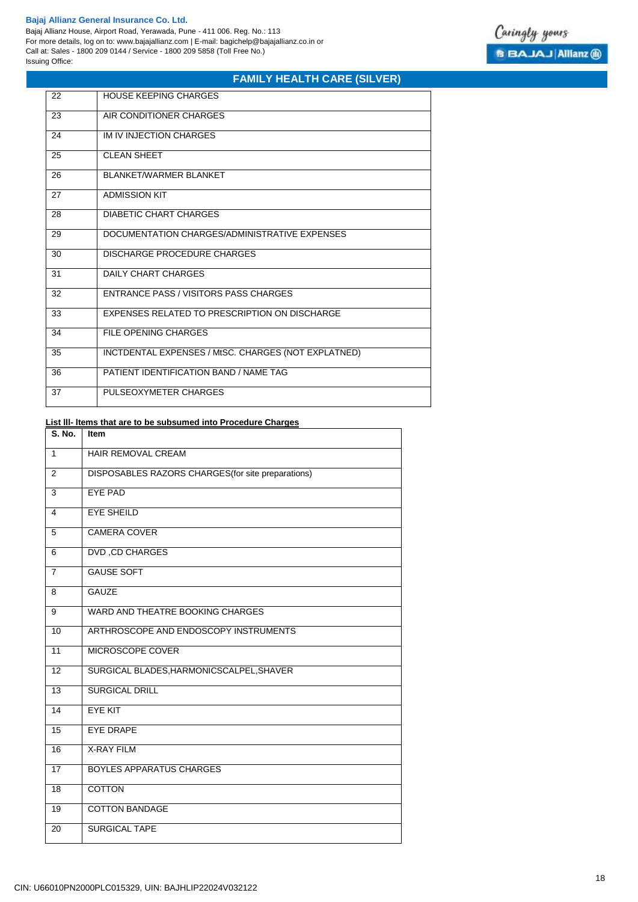$\blacksquare$ 

Bajaj Allianz House, Airport Road, Yerawada, Pune - 411 006. Reg. No.: 113 For more details, log on to: www.bajajallianz.com | E-mail: bagichelp@bajajallianz.co.in or Call at: Sales - 1800 209 0144 / Service - 1800 209 5858 (Toll Free No.) Issuing Office:



# **FAMILY HEALTH CARE (SILVER)**

| 22 | <b>HOUSE KEEPING CHARGES</b>                        |
|----|-----------------------------------------------------|
| 23 | AIR CONDITIONER CHARGES                             |
| 24 | IM IV INJECTION CHARGES                             |
| 25 | <b>CLEAN SHEET</b>                                  |
| 26 | <b>BLANKET/WARMER BLANKET</b>                       |
| 27 | <b>ADMISSION KIT</b>                                |
| 28 | DIABETIC CHART CHARGES                              |
| 29 | DOCUMENTATION CHARGES/ADMINISTRATIVE EXPENSES       |
| 30 | DISCHARGE PROCEDURE CHARGES                         |
| 31 | DAILY CHART CHARGES                                 |
| 32 | ENTRANCE PASS / VISITORS PASS CHARGES               |
| 33 | EXPENSES RELATED TO PRESCRIPTION ON DISCHARGE       |
| 34 | FILE OPENING CHARGES                                |
| 35 | INCTDENTAL EXPENSES / MtSC. CHARGES (NOT EXPLATNED) |
| 36 | PATIENT IDENTIFICATION BAND / NAME TAG              |
| 37 | PULSEOXYMETER CHARGES                               |

### **List lll- ltems that are to be subsumed into Procedure Charges**

| Item                                               |
|----------------------------------------------------|
| HAIR REMOVAL CREAM                                 |
| DISPOSABLES RAZORS CHARGES (for site preparations) |
| <b>EYE PAD</b>                                     |
| <b>EYE SHEILD</b>                                  |
| <b>CAMERA COVER</b>                                |
| <b>DVD, CD CHARGES</b>                             |
| <b>GAUSE SOFT</b>                                  |
| <b>GAUZE</b>                                       |
| WARD AND THEATRE BOOKING CHARGES                   |
| ARTHROSCOPE AND ENDOSCOPY INSTRUMENTS              |
| MICROSCOPE COVER                                   |
| SURGICAL BLADES, HARMONICSCALPEL, SHAVER           |
| <b>SURGICAL DRILL</b>                              |
| <b>EYE KIT</b>                                     |
| <b>EYE DRAPE</b>                                   |
| <b>X-RAY FILM</b>                                  |
| <b>BOYLES APPARATUS CHARGES</b>                    |
| <b>COTTON</b>                                      |
| <b>COTTON BANDAGE</b>                              |
| <b>SURGICAL TAPE</b>                               |
|                                                    |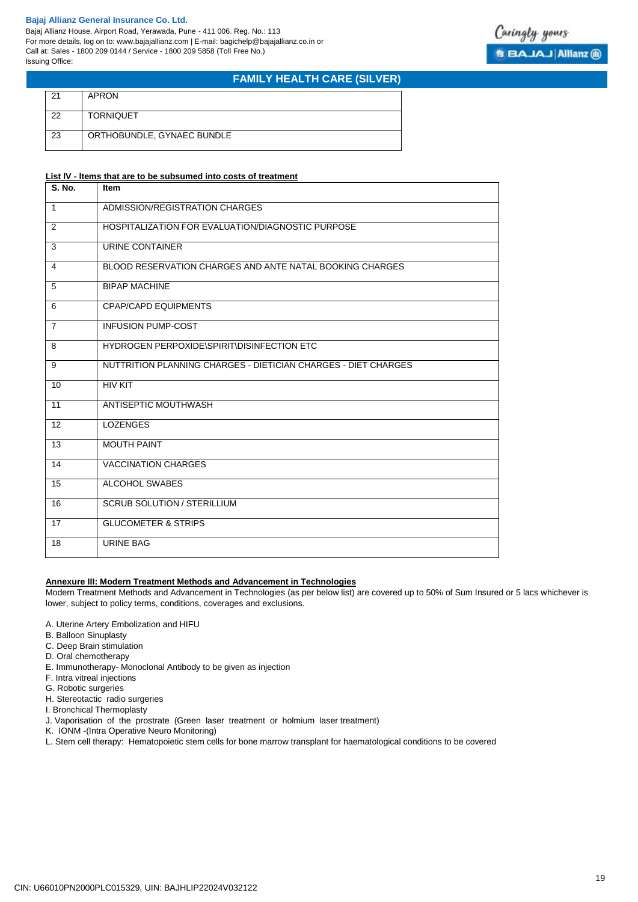Bajaj Allianz House, Airport Road, Yerawada, Pune - 411 006. Reg. No.: 113 For more details, log on to: www.bajajallianz.com | E-mail: bagichelp@bajajallianz.co.in or Call at: Sales - 1800 209 0144 / Service - 1800 209 5858 (Toll Free No.) Issuing Office:



# **FAMILY HEALTH CARE (SILVER)**

| 21 | <b>APRON</b>               |
|----|----------------------------|
| 22 | <b>TORNIQUET</b>           |
| 23 | ORTHOBUNDLE, GYNAEC BUNDLE |

### **List lV - ltems that are to be subsumed into costs of treatment**

| S. No.         | <b>Item</b>                                                    |
|----------------|----------------------------------------------------------------|
| $\overline{1}$ | ADMISSION/REGISTRATION CHARGES                                 |
| 2              | HOSPITALIZATION FOR EVALUATION/DIAGNOSTIC PURPOSE              |
| $\overline{3}$ | URINE CONTAINER                                                |
| 4              | BLOOD RESERVATION CHARGES AND ANTE NATAL BOOKING CHARGES       |
| 5              | <b>BIPAP MACHINE</b>                                           |
| 6              | <b>CPAP/CAPD EQUIPMENTS</b>                                    |
| $\overline{7}$ | <b>INFUSION PUMP-COST</b>                                      |
| 8              | HYDROGEN PERPOXIDE\SPIRIT\DISINFECTION ETC                     |
| 9              | NUTTRITION PLANNING CHARGES - DIETICIAN CHARGES - DIET CHARGES |
| 10             | <b>HIV KIT</b>                                                 |
| 11             | ANTISEPTIC MOUTHWASH                                           |
| 12             | <b>LOZENGES</b>                                                |
| 13             | <b>MOUTH PAINT</b>                                             |
| 14             | <b>VACCINATION CHARGES</b>                                     |
| 15             | ALCOHOL SWABES                                                 |
| 16             | <b>SCRUB SOLUTION / STERILLIUM</b>                             |
| 17             | <b>GLUCOMETER &amp; STRIPS</b>                                 |
| 18             | <b>URINE BAG</b>                                               |

### **Annexure III: Modern Treatment Methods and Advancement in Technologies**

Modern Treatment Methods and Advancement in Technologies (as per below list) are covered up to 50% of Sum Insured or 5 lacs whichever is lower, subject to policy terms, conditions, coverages and exclusions.

- A. Uterine Artery Embolization and HIFU
- B. Balloon Sinuplasty
- C. Deep Brain stimulation
- D. Oral chemotherapy
- E. Immunotherapy- Monoclonal Antibody to be given as injection
- F. Intra vitreal injections
- G. Robotic surgeries
- H. Stereotactic radio surgeries
- I. Bronchical Thermoplasty
- J. Vaporisation of the prostrate (Green laser treatment or holmium laser treatment)
- K. IONM -(Intra Operative Neuro Monitoring)
- L. Stem cell therapy: Hematopoietic stem cells for bone marrow transplant for haematological conditions to be covered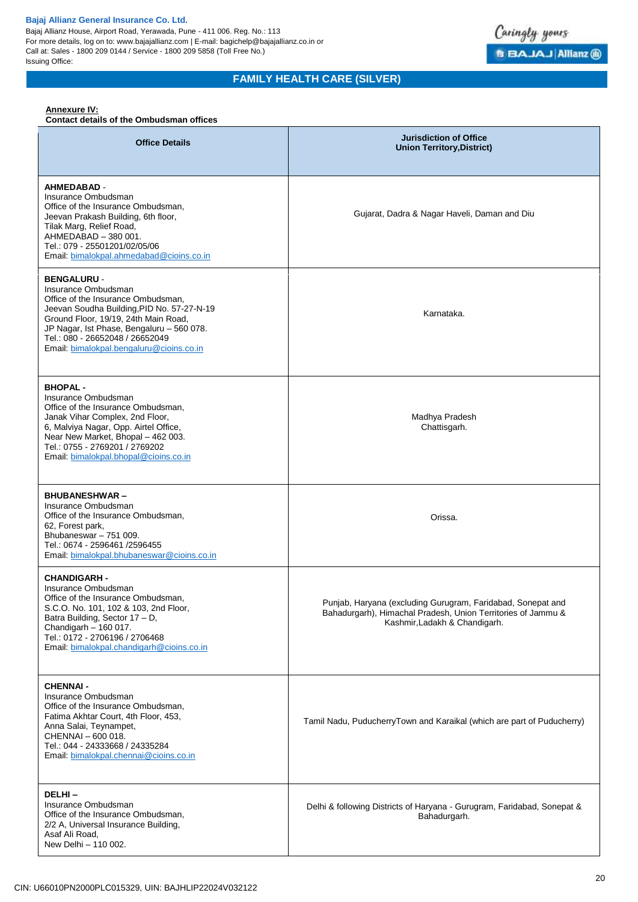Bajaj Allianz House, Airport Road, Yerawada, Pune - 411 006. Reg. No.: 113 For more details, log on to: www.bajajallianz.com | E-mail: bagichelp@bajajallianz.co.in or Call at: Sales - 1800 209 0144 / Service - 1800 209 5858 (Toll Free No.) Issuing Office:



# **FAMILY HEALTH CARE (SILVER)**

## **Annexure IV:**

### **Contact details of the Ombudsman offices**

| <b>Office Details</b>                                                                                                                                                                                                                                                                             | <b>Jurisdiction of Office</b><br><b>Union Territory, District)</b>                                                                                           |
|---------------------------------------------------------------------------------------------------------------------------------------------------------------------------------------------------------------------------------------------------------------------------------------------------|--------------------------------------------------------------------------------------------------------------------------------------------------------------|
| <b>AHMEDABAD -</b><br>Insurance Ombudsman<br>Office of the Insurance Ombudsman,<br>Jeevan Prakash Building, 6th floor,<br>Tilak Marg, Relief Road,<br>AHMEDABAD - 380 001.<br>Tel.: 079 - 25501201/02/05/06<br>Email: bimalokpal.ahmedabad@cioins.co.in                                           | Gujarat, Dadra & Nagar Haveli, Daman and Diu                                                                                                                 |
| <b>BENGALURU -</b><br>Insurance Ombudsman<br>Office of the Insurance Ombudsman,<br>Jeevan Soudha Building, PID No. 57-27-N-19<br>Ground Floor, 19/19, 24th Main Road,<br>JP Nagar, Ist Phase, Bengaluru - 560 078.<br>Tel.: 080 - 26652048 / 26652049<br>Email: bimalokpal.bengaluru@cioins.co.in | Karnataka.                                                                                                                                                   |
| <b>BHOPAL-</b><br>Insurance Ombudsman<br>Office of the Insurance Ombudsman,<br>Janak Vihar Complex, 2nd Floor,<br>6, Malviya Nagar, Opp. Airtel Office,<br>Near New Market, Bhopal - 462 003.<br>Tel.: 0755 - 2769201 / 2769202<br>Email: bimalokpal.bhopal@cioins.co.in                          | Madhya Pradesh<br>Chattisgarh.                                                                                                                               |
| <b>BHUBANESHWAR-</b><br>Insurance Ombudsman<br>Office of the Insurance Ombudsman,<br>62, Forest park,<br>Bhubaneswar - 751 009.<br>Tel.: 0674 - 2596461 /2596455<br>Email: bimalokpal.bhubaneswar@cioins.co.in                                                                                    | Orissa.                                                                                                                                                      |
| <b>CHANDIGARH -</b><br>Insurance Ombudsman<br>Office of the Insurance Ombudsman,<br>S.C.O. No. 101, 102 & 103, 2nd Floor,<br>Batra Building, Sector 17 - D,<br>Chandigarh - 160 017.<br>Tel.: 0172 - 2706196 / 2706468<br>Email: bimalokpal.chandigarh@cioins.co.in                               | Punjab, Haryana (excluding Gurugram, Faridabad, Sonepat and<br>Bahadurgarh), Himachal Pradesh, Union Territories of Jammu &<br>Kashmir, Ladakh & Chandigarh. |
| <b>CHENNAI -</b><br>Insurance Ombudsman<br>Office of the Insurance Ombudsman,<br>Fatima Akhtar Court, 4th Floor, 453,<br>Anna Salai, Teynampet,<br>CHENNAI - 600 018.<br>Tel.: 044 - 24333668 / 24335284<br>Email: bimalokpal.chennai@cioins.co.in                                                | Tamil Nadu, PuducherryTown and Karaikal (which are part of Puducherry)                                                                                       |
| DELHI-<br>Insurance Ombudsman<br>Office of the Insurance Ombudsman,<br>2/2 A, Universal Insurance Building,<br>Asaf Ali Road,<br>New Delhi - 110 002.                                                                                                                                             | Delhi & following Districts of Haryana - Gurugram, Faridabad, Sonepat &<br>Bahadurgarh.                                                                      |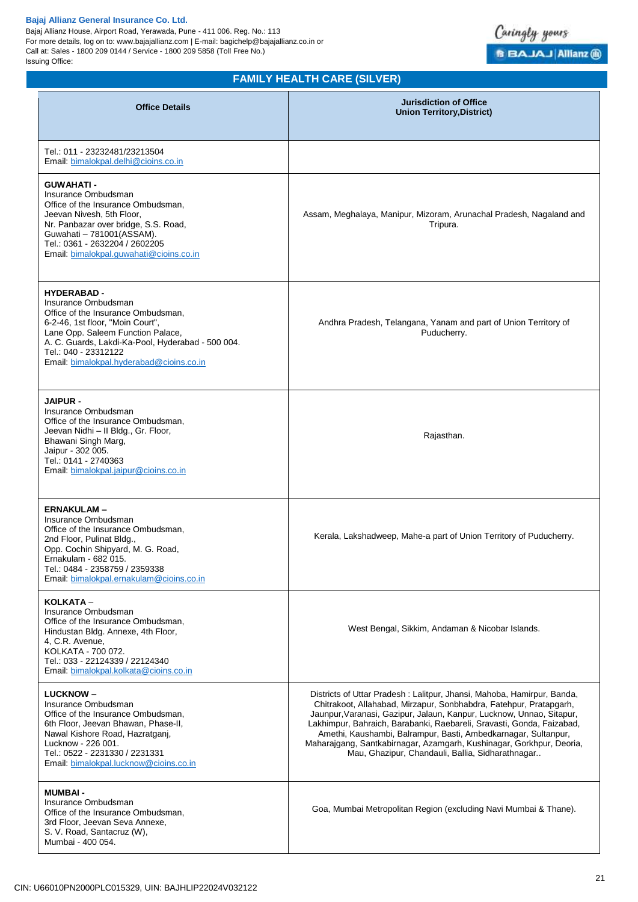Bajaj Allianz House, Airport Road, Yerawada, Pune - 411 006. Reg. No.: 113 For more details, log on to: www.bajajallianz.com | E-mail: bagichelp@bajajallianz.co.in or Call at: Sales - 1800 209 0144 / Service - 1800 209 5858 (Toll Free No.) Issuing Office:



# **FAMILY HEALTH CARE (SILVER)**

| <b>Office Details</b>                                                                                                                                                                                                                                                             | <b>Jurisdiction of Office</b><br><b>Union Territory, District)</b>                                                                                                                                                                                                                                                                                                                                                                                                                          |
|-----------------------------------------------------------------------------------------------------------------------------------------------------------------------------------------------------------------------------------------------------------------------------------|---------------------------------------------------------------------------------------------------------------------------------------------------------------------------------------------------------------------------------------------------------------------------------------------------------------------------------------------------------------------------------------------------------------------------------------------------------------------------------------------|
| Tel.: 011 - 23232481/23213504<br>Email, bimalokpal.delhi@cioins.co.in                                                                                                                                                                                                             |                                                                                                                                                                                                                                                                                                                                                                                                                                                                                             |
| <b>GUWAHATI -</b><br>Insurance Ombudsman<br>Office of the Insurance Ombudsman,<br>Jeevan Nivesh, 5th Floor,<br>Nr. Panbazar over bridge, S.S. Road,<br>Guwahati - 781001(ASSAM).<br>Tel.: 0361 - 2632204 / 2602205<br>Email: bimalokpal.guwahati@cioins.co.in                     | Assam, Meghalaya, Manipur, Mizoram, Arunachal Pradesh, Nagaland and<br>Tripura.                                                                                                                                                                                                                                                                                                                                                                                                             |
| <b>HYDERABAD -</b><br>Insurance Ombudsman<br>Office of the Insurance Ombudsman,<br>6-2-46, 1st floor, "Moin Court",<br>Lane Opp. Saleem Function Palace,<br>A. C. Guards, Lakdi-Ka-Pool, Hyderabad - 500 004.<br>Tel.: 040 - 23312122<br>Email: bimalokpal.hyderabad@cioins.co.in | Andhra Pradesh, Telangana, Yanam and part of Union Territory of<br>Puducherry.                                                                                                                                                                                                                                                                                                                                                                                                              |
| <b>JAIPUR -</b><br>Insurance Ombudsman<br>Office of the Insurance Ombudsman,<br>Jeevan Nidhi - Il Bldg., Gr. Floor,<br>Bhawani Singh Marg,<br>Jaipur - 302 005.<br>Tel.: 0141 - 2740363<br>Email: bimalokpal.jaipur@cioins.co.in                                                  | Rajasthan.                                                                                                                                                                                                                                                                                                                                                                                                                                                                                  |
| <b>ERNAKULAM-</b><br>Insurance Ombudsman<br>Office of the Insurance Ombudsman,<br>2nd Floor, Pulinat Bldg.,<br>Opp. Cochin Shipyard, M. G. Road,<br>Ernakulam - 682 015.<br>Tel.: 0484 - 2358759 / 2359338<br>Email: bimalokpal.ernakulam@cioins.co.in                            | Kerala, Lakshadweep, Mahe-a part of Union Territory of Puducherry.                                                                                                                                                                                                                                                                                                                                                                                                                          |
| KOLKATA -<br>Insurance Ombudsman<br>Office of the Insurance Ombudsman,<br>Hindustan Bldg. Annexe, 4th Floor,<br>4, C.R. Avenue,<br>KOLKATA - 700 072.<br>Tel.: 033 - 22124339 / 22124340<br>Email: bimalokpal.kolkata@cioins.co.in                                                | West Bengal, Sikkim, Andaman & Nicobar Islands.                                                                                                                                                                                                                                                                                                                                                                                                                                             |
| <b>LUCKNOW-</b><br>Insurance Ombudsman<br>Office of the Insurance Ombudsman,<br>6th Floor, Jeevan Bhawan, Phase-II,<br>Nawal Kishore Road, Hazratganj,<br>Lucknow - 226 001.<br>Tel.: 0522 - 2231330 / 2231331<br>Email: bimalokpal.lucknow@cioins.co.in                          | Districts of Uttar Pradesh: Lalitpur, Jhansi, Mahoba, Hamirpur, Banda,<br>Chitrakoot, Allahabad, Mirzapur, Sonbhabdra, Fatehpur, Pratapgarh,<br>Jaunpur, Varanasi, Gazipur, Jalaun, Kanpur, Lucknow, Unnao, Sitapur,<br>Lakhimpur, Bahraich, Barabanki, Raebareli, Sravasti, Gonda, Faizabad,<br>Amethi, Kaushambi, Balrampur, Basti, Ambedkarnagar, Sultanpur,<br>Maharajgang, Santkabirnagar, Azamgarh, Kushinagar, Gorkhpur, Deoria,<br>Mau, Ghazipur, Chandauli, Ballia, Sidharathnagar |
| <b>MUMBAI-</b><br>Insurance Ombudsman<br>Office of the Insurance Ombudsman,<br>3rd Floor, Jeevan Seva Annexe,<br>S. V. Road, Santacruz (W),<br>Mumbai - 400 054.                                                                                                                  | Goa, Mumbai Metropolitan Region (excluding Navi Mumbai & Thane).                                                                                                                                                                                                                                                                                                                                                                                                                            |